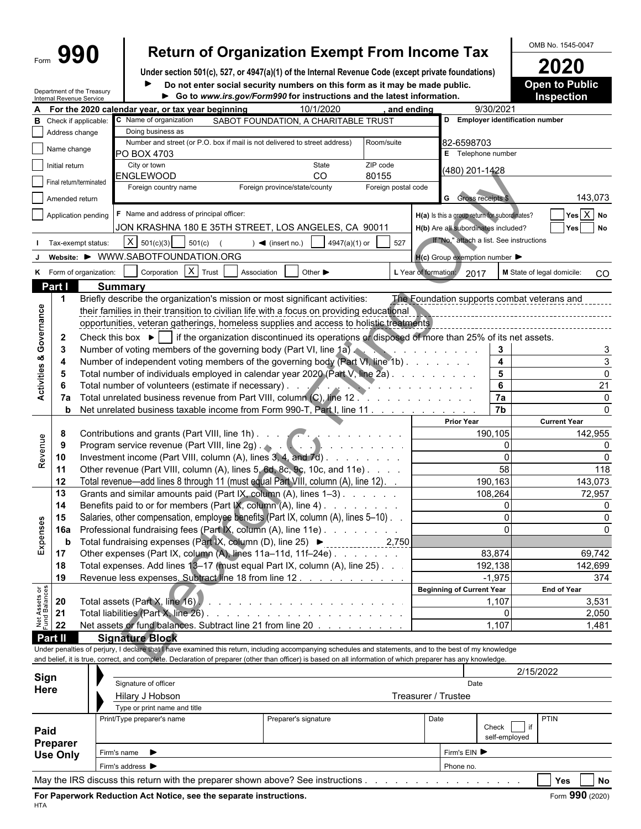# Form **990 Return of Organization Exempt From Income Tax** OMB No. 1545-0047

Under section 501(c), 527, or 4947(a)(1) of the Internal Revenue Code (except private foundations)<br>
■ **2020** Do not enter social security numbers on this form as it may be made public. ● 20 **20 Do notion Public** Do not enter social security numbers on this form as it may be made public.

|                                | Internal Revenue Service    | Department of the Treasury                                           | Go to www.irs.gov/Form990 for instructions and the latest information.                                                                                                                                                        |                                                               |                                | <b>Inspection</b> |                                                     |                                   |                                             |  |  |  |
|--------------------------------|-----------------------------|----------------------------------------------------------------------|-------------------------------------------------------------------------------------------------------------------------------------------------------------------------------------------------------------------------------|---------------------------------------------------------------|--------------------------------|-------------------|-----------------------------------------------------|-----------------------------------|---------------------------------------------|--|--|--|
|                                |                             |                                                                      | For the 2020 calendar year, or tax year beginning                                                                                                                                                                             | 10/1/2020                                                     | and ending                     |                   |                                                     | 9/30/2021                         |                                             |  |  |  |
| в                              |                             | Check if applicable:                                                 | C Name of organization                                                                                                                                                                                                        | SABOT FOUNDATION, A CHARITABLE TRUST                          |                                |                   |                                                     | D Employer identification number  |                                             |  |  |  |
|                                | Address change              |                                                                      | Doing business as                                                                                                                                                                                                             |                                                               |                                |                   |                                                     |                                   |                                             |  |  |  |
|                                | Name change                 |                                                                      | Number and street (or P.O. box if mail is not delivered to street address)                                                                                                                                                    |                                                               | Room/suite                     |                   | 82-6598703                                          |                                   |                                             |  |  |  |
|                                |                             |                                                                      | PO BOX 4703                                                                                                                                                                                                                   |                                                               |                                |                   | E Telephone number                                  |                                   |                                             |  |  |  |
|                                | Initial return              |                                                                      | City or town<br>ENGLEWOOD                                                                                                                                                                                                     | State<br>CO                                                   | ZIP code                       |                   | (480) 201-1428                                      |                                   |                                             |  |  |  |
|                                | Final return/terminated     |                                                                      | Foreign country name                                                                                                                                                                                                          | Foreign province/state/county                                 | 80155<br>Foreign postal code   |                   |                                                     |                                   |                                             |  |  |  |
|                                | Amended return              |                                                                      |                                                                                                                                                                                                                               |                                                               |                                |                   | <b>G</b> Gross receipts \$                          |                                   | 143,073                                     |  |  |  |
|                                |                             |                                                                      |                                                                                                                                                                                                                               |                                                               |                                |                   |                                                     |                                   |                                             |  |  |  |
|                                |                             | Application pending                                                  | F Name and address of principal officer:                                                                                                                                                                                      |                                                               |                                |                   | H(a) Is this a group return for subordinates?       |                                   | $Yes$ $X$ No                                |  |  |  |
|                                |                             |                                                                      | JON KRASHNA 180 E 35TH STREET, LOS ANGELES, CA 90011                                                                                                                                                                          |                                                               |                                |                   | H(b) Are all subordinates included?                 |                                   | <b>No</b><br>Yes                            |  |  |  |
|                                |                             | Tax-exempt status:                                                   | $X \mid 501(c)(3)$<br>501(c)                                                                                                                                                                                                  | 4947(a)(1) or<br>$\blacktriangleleft$ (insert no.)            | 527                            |                   | If "No," attach a list. See instructions            |                                   |                                             |  |  |  |
|                                |                             |                                                                      | Website: ▶ WWW.SABOTFOUNDATION.ORG                                                                                                                                                                                            |                                                               |                                |                   | $H(c)$ Group exemption number $\blacktriangleright$ |                                   |                                             |  |  |  |
|                                |                             | K Form of organization:                                              | Corporation $X$ Trust<br>Association                                                                                                                                                                                          | Other $\blacktriangleright$                                   | L Year of formation:           |                   | 2017                                                |                                   | M State of legal domicile:<br>CO            |  |  |  |
|                                | Part I                      |                                                                      | <b>Summary</b>                                                                                                                                                                                                                |                                                               |                                |                   |                                                     |                                   |                                             |  |  |  |
|                                | -1                          |                                                                      | Briefly describe the organization's mission or most significant activities:                                                                                                                                                   |                                                               |                                |                   |                                                     |                                   | The Foundation supports combat veterans and |  |  |  |
|                                |                             |                                                                      | their families in their transition to civilian life with a focus on providing educational                                                                                                                                     |                                                               |                                |                   |                                                     |                                   |                                             |  |  |  |
|                                |                             |                                                                      | opportunities, veteran gatherings, homeless supplies and access to holistic treatments                                                                                                                                        |                                                               |                                |                   |                                                     |                                   |                                             |  |  |  |
|                                | $\mathbf{2}$                |                                                                      | Check this box $\blacktriangleright$ if the organization discontinued its operations or disposed of more than 25% of its net assets.                                                                                          |                                                               |                                |                   |                                                     |                                   |                                             |  |  |  |
|                                | 3                           |                                                                      | Number of voting members of the governing body (Part VI, line 1a)                                                                                                                                                             |                                                               |                                |                   | and the contract of the contract of the             | 3                                 |                                             |  |  |  |
| Activities & Governance        | 4                           |                                                                      | Number of independent voting members of the governing body (Part VI, line 1b)                                                                                                                                                 |                                                               |                                |                   |                                                     | $\overline{\mathbf{4}}$           |                                             |  |  |  |
|                                | -5                          |                                                                      | Total number of individuals employed in calendar year 2020 (Part V, line 2a).                                                                                                                                                 |                                                               |                                |                   |                                                     | $5\phantom{1}$                    | $\Omega$                                    |  |  |  |
|                                | -6                          |                                                                      | Total number of volunteers (estimate if necessary). .                                                                                                                                                                         |                                                               | and the second contract of the |                   |                                                     | 6                                 | 21                                          |  |  |  |
|                                | 7a                          | Total unrelated business revenue from Part VIII, column (C), line 12 |                                                                                                                                                                                                                               |                                                               |                                |                   |                                                     | 7a                                | $\Omega$                                    |  |  |  |
|                                | b                           |                                                                      | Net unrelated business taxable income from Form 990-T, Part I, line 11                                                                                                                                                        |                                                               |                                |                   |                                                     | 7 <sub>b</sub>                    |                                             |  |  |  |
|                                |                             |                                                                      |                                                                                                                                                                                                                               |                                                               |                                |                   | <b>Prior Year</b>                                   |                                   | <b>Current Year</b>                         |  |  |  |
|                                | 8                           |                                                                      | Contributions and grants (Part VIII, line 1h)                                                                                                                                                                                 |                                                               |                                |                   | 190,105                                             | 142,955                           |                                             |  |  |  |
| Revenue                        | -9                          |                                                                      | Program service revenue (Part VIII, line 2g) . And a substitution of the service revenue of the service of the service results of the service results of the service results of the service results of the service results of |                                                               |                                |                   | $\Omega$                                            |                                   |                                             |  |  |  |
|                                | 10                          |                                                                      |                                                                                                                                                                                                                               | Investment income (Part VIII, column (A), lines 3, 4, and 7d) |                                |                   |                                                     | $\Omega$                          | $\Omega$                                    |  |  |  |
|                                | 11                          |                                                                      | Other revenue (Part VIII, column (A), lines 5, 6d, 8c, 9c, 10c, and 11e)                                                                                                                                                      |                                                               |                                |                   |                                                     | 58                                | 118                                         |  |  |  |
|                                | 12                          |                                                                      | Total revenue—add lines 8 through 11 (must equal Part VIII, column (A), line 12).                                                                                                                                             |                                                               |                                |                   |                                                     | 190,163                           | 143,073                                     |  |  |  |
|                                | 13                          |                                                                      | Grants and similar amounts paid (Part IX, column (A), lines 1-3)                                                                                                                                                              |                                                               |                                |                   |                                                     | 108,264                           | 72,957                                      |  |  |  |
|                                | 14                          |                                                                      | Benefits paid to or for members (Part IX, column (A), line 4)                                                                                                                                                                 |                                                               |                                |                   |                                                     | $\Omega$                          |                                             |  |  |  |
|                                | 15                          |                                                                      | Salaries, other compensation, employee benefits (Part IX, column (A), lines 5-10).                                                                                                                                            |                                                               |                                |                   |                                                     |                                   |                                             |  |  |  |
| Expenses                       | <b>16a</b>                  |                                                                      | Professional fundraising fees (Part IX, column (A), line 11e)                                                                                                                                                                 |                                                               |                                |                   |                                                     | $\Omega$                          |                                             |  |  |  |
|                                | b                           |                                                                      | Total fundraising expenses (Part IX, column (D), line 25) ▶ _____________ 2,750                                                                                                                                               |                                                               |                                |                   |                                                     |                                   |                                             |  |  |  |
|                                | 17                          |                                                                      | Other expenses (Part IX, column (A), lines 11a-11d, 11f-24e)                                                                                                                                                                  |                                                               |                                |                   |                                                     | 83,874                            | 69,742                                      |  |  |  |
|                                | 18                          |                                                                      | Total expenses. Add lines 13-17 (must equal Part IX, column (A), line 25). .                                                                                                                                                  |                                                               |                                |                   |                                                     | 192,138                           | 142,699                                     |  |  |  |
|                                | 19                          |                                                                      | Revenue less expenses. Subtract line 18 from line 12.                                                                                                                                                                         |                                                               |                                |                   |                                                     | $-1,975$                          | 374                                         |  |  |  |
|                                |                             |                                                                      |                                                                                                                                                                                                                               |                                                               |                                |                   | <b>Beginning of Current Year</b>                    |                                   | <b>End of Year</b>                          |  |  |  |
| Net Assets or<br>Fund Balances | 20                          |                                                                      |                                                                                                                                                                                                                               |                                                               |                                |                   |                                                     | 1,107                             | 3,531                                       |  |  |  |
|                                | 21                          |                                                                      |                                                                                                                                                                                                                               |                                                               |                                |                   |                                                     | $\Omega$                          | 2,050                                       |  |  |  |
|                                | 22                          |                                                                      | Net assets or fund balances. Subtract line 21 from line 20                                                                                                                                                                    |                                                               |                                |                   |                                                     | 1,107                             | 1,481                                       |  |  |  |
|                                | Part II                     |                                                                      | <b>Signature Block</b>                                                                                                                                                                                                        |                                                               |                                |                   |                                                     |                                   |                                             |  |  |  |
|                                |                             |                                                                      | Under penalties of perjury, I declare that I have examined this return, including accompanying schedules and statements, and to the best of my knowledge                                                                      |                                                               |                                |                   |                                                     |                                   |                                             |  |  |  |
|                                |                             |                                                                      | and belief, it is true, correct, and complete. Declaration of preparer (other than officer) is based on all information of which preparer has any knowledge.                                                                  |                                                               |                                |                   |                                                     |                                   |                                             |  |  |  |
| Sign                           |                             |                                                                      |                                                                                                                                                                                                                               |                                                               |                                |                   |                                                     | 2/15/2022                         |                                             |  |  |  |
| Here                           |                             |                                                                      | Signature of officer                                                                                                                                                                                                          |                                                               | Date                           |                   |                                                     |                                   |                                             |  |  |  |
|                                |                             |                                                                      | Hilary J Hobson                                                                                                                                                                                                               |                                                               | Treasurer / Trustee            |                   |                                                     |                                   |                                             |  |  |  |
|                                |                             |                                                                      | Type or print name and title                                                                                                                                                                                                  |                                                               |                                |                   |                                                     |                                   |                                             |  |  |  |
|                                |                             |                                                                      | Print/Type preparer's name                                                                                                                                                                                                    | Preparer's signature                                          |                                | Date              |                                                     | <b>PTIN</b><br>Check<br><b>if</b> |                                             |  |  |  |
| Paid                           |                             |                                                                      |                                                                                                                                                                                                                               |                                                               |                                |                   | self-employed                                       |                                   |                                             |  |  |  |
|                                | Preparer<br><b>Use Only</b> |                                                                      | Firm's name $\blacktriangleright$                                                                                                                                                                                             |                                                               |                                | Firm's EIN ▶      |                                                     |                                   |                                             |  |  |  |
|                                |                             |                                                                      | Firm's address $\blacktriangleright$                                                                                                                                                                                          |                                                               | Phone no.                      |                   |                                                     |                                   |                                             |  |  |  |
|                                |                             |                                                                      |                                                                                                                                                                                                                               |                                                               |                                |                   |                                                     |                                   |                                             |  |  |  |

May the IRS discuss this return with the preparer shown above? See instructions . . . . . . . . . . . . . . . . . . . . . . . . . . . . . . . **Yes No** . . . . . . . . . . .

**For Paperwork Reduction Act Notice, see the separate instructions.** Form 990 (2020) Form 990 (2020)

HTA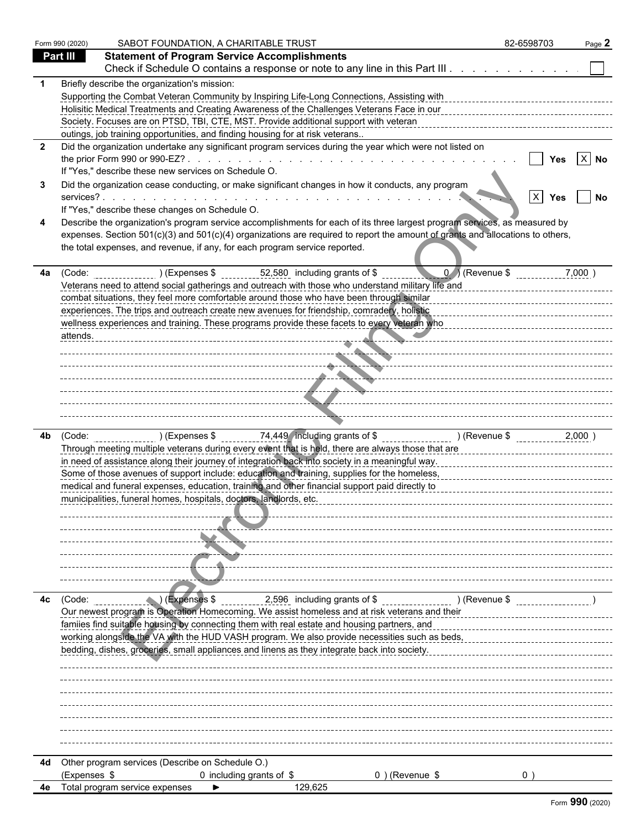|              | Form 990 (2020) | SABOT FOUNDATION, A CHARITABLE TRUST                                                                                                                                                                                                 | 82-6598703             | Page 2 |
|--------------|-----------------|--------------------------------------------------------------------------------------------------------------------------------------------------------------------------------------------------------------------------------------|------------------------|--------|
|              | Part III        | <b>Statement of Program Service Accomplishments</b>                                                                                                                                                                                  |                        |        |
|              |                 | Check if Schedule O contains a response or note to any line in this Part III.                                                                                                                                                        |                        |        |
|              |                 | Briefly describe the organization's mission:                                                                                                                                                                                         |                        |        |
|              |                 | Supporting the Combat Veteran Community by Inspiring Life-Long Connections, Assisting with                                                                                                                                           |                        |        |
|              |                 | Holisitic Medical Treatments and Creating Awareness of the Challenges Veterans Face in our                                                                                                                                           |                        |        |
|              |                 | Society. Focuses are on PTSD, TBI, CTE, MST. Provide additional support with veteran                                                                                                                                                 |                        |        |
|              |                 | outings, job training opportunities, and finding housing for at risk veterans                                                                                                                                                        |                        |        |
| $\mathbf{2}$ |                 | Did the organization undertake any significant program services during the year which were not listed on                                                                                                                             |                        |        |
|              |                 |                                                                                                                                                                                                                                      | Yes                    | $X$ No |
|              |                 | If "Yes," describe these new services on Schedule O.                                                                                                                                                                                 |                        |        |
|              |                 | Did the organization cease conducting, or make significant changes in how it conducts, any program                                                                                                                                   |                        |        |
|              |                 | If "Yes," describe these changes on Schedule O.                                                                                                                                                                                      | $\vert x \vert$<br>Yes | No     |
|              |                 | Describe the organization's program service accomplishments for each of its three largest program services, as measured by                                                                                                           |                        |        |
|              |                 | expenses. Section 501(c)(3) and 501(c)(4) organizations are required to report the amount of grants and allocations to others,                                                                                                       |                        |        |
|              |                 | the total expenses, and revenue, if any, for each program service reported.                                                                                                                                                          |                        |        |
|              |                 |                                                                                                                                                                                                                                      |                        |        |
| 4a           | (Code:          | $0$ ) (Revenue \$<br>52,580 including grants of \$<br>) (Expenses \$                                                                                                                                                                 |                        | 7,000  |
|              |                 | Veterans need to attend social gatherings and outreach with those who understand military life and                                                                                                                                   |                        |        |
|              |                 | combat situations, they feel more comfortable around those who have been through similar                                                                                                                                             |                        |        |
|              |                 | experiences. The trips and outreach create new avenues for friendship, comradery, holistic                                                                                                                                           |                        |        |
|              |                 | wellness experiences and training. These programs provide these facets to every veteran who                                                                                                                                          |                        |        |
|              | attends.        |                                                                                                                                                                                                                                      |                        |        |
|              |                 |                                                                                                                                                                                                                                      |                        |        |
|              |                 | <u> 2000 - 2000 - 2000 - 2000 - 2000 - 2000 - 2000 - 2000 - 2000 - 2000 - 2000 - 2000 - 2000 - 2000 - 2000 - 200</u>                                                                                                                 |                        |        |
|              |                 | <u> Alexandro Alexandro Alexandro Alexandro Alexandro Alexandro Alexandro Alexandro Alexandro Alexandro Alexandro Alexandro Alexandro Alexandro Alexandro Alexandro Alexandro Alexandro Alexandro Alexandro Alexandro Alexandro </u> |                        |        |
|              |                 |                                                                                                                                                                                                                                      |                        |        |
|              |                 |                                                                                                                                                                                                                                      |                        |        |
|              |                 | ------------ <del>----------------</del> -                                                                                                                                                                                           |                        |        |
| 4b           |                 | (Code: ) (Expenses \$ 74,449 including grants of \$ [1,100] (Revenue \$ [1,100] (Revenue \$ [1,100] (Revenue \$ ]                                                                                                                    |                        | 2,000  |
|              |                 | Through meeting multiple veterans during every event that is held, there are always those that are                                                                                                                                   |                        |        |
|              |                 | in need of assistance along their journey of integration back into society in a meaningful way.                                                                                                                                      |                        |        |
|              |                 | Some of those avenues of support include: education and training, supplies for the homeless,                                                                                                                                         |                        |        |
|              |                 | medical and funeral expenses, education, training and other financial support paid directly to                                                                                                                                       |                        |        |
|              |                 | municipalities, funeral homes, hospitals, doctors, landlords, etc.                                                                                                                                                                   |                        |        |
|              |                 |                                                                                                                                                                                                                                      |                        |        |
|              |                 |                                                                                                                                                                                                                                      |                        |        |
|              |                 |                                                                                                                                                                                                                                      |                        |        |
|              |                 |                                                                                                                                                                                                                                      |                        |        |
|              |                 |                                                                                                                                                                                                                                      |                        |        |
|              |                 |                                                                                                                                                                                                                                      |                        |        |
|              |                 |                                                                                                                                                                                                                                      |                        |        |
| 4c           | (Code:          | 2,596 including grants of \$<br>(Expenses \$)<br>$($ Revenue \$                                                                                                                                                                      |                        |        |
|              |                 | Our newest program is Operation Homecoming. We assist homeless and at risk veterans and their                                                                                                                                        |                        |        |
|              |                 | familes find suitable housing by connecting them with real estate and housing partners, and                                                                                                                                          |                        |        |
|              |                 | working alongside the VA with the HUD VASH program. We also provide necessities such as beds,                                                                                                                                        |                        |        |
|              |                 | bedding, dishes, groceries, small appliances and linens as they integrate back into society.                                                                                                                                         |                        |        |
|              |                 |                                                                                                                                                                                                                                      |                        |        |
|              |                 |                                                                                                                                                                                                                                      |                        |        |
|              |                 |                                                                                                                                                                                                                                      |                        |        |
|              |                 |                                                                                                                                                                                                                                      |                        |        |
|              |                 |                                                                                                                                                                                                                                      |                        |        |
|              |                 |                                                                                                                                                                                                                                      |                        |        |
|              |                 |                                                                                                                                                                                                                                      |                        |        |
| 4d           |                 | Other program services (Describe on Schedule O.)                                                                                                                                                                                     |                        |        |
|              | (Expenses \$    | 0 including grants of \$<br>0) (Revenue \$                                                                                                                                                                                           | $0^{\circ}$            |        |
|              |                 | Total program service expenses<br>129,625                                                                                                                                                                                            |                        |        |
|              |                 |                                                                                                                                                                                                                                      |                        |        |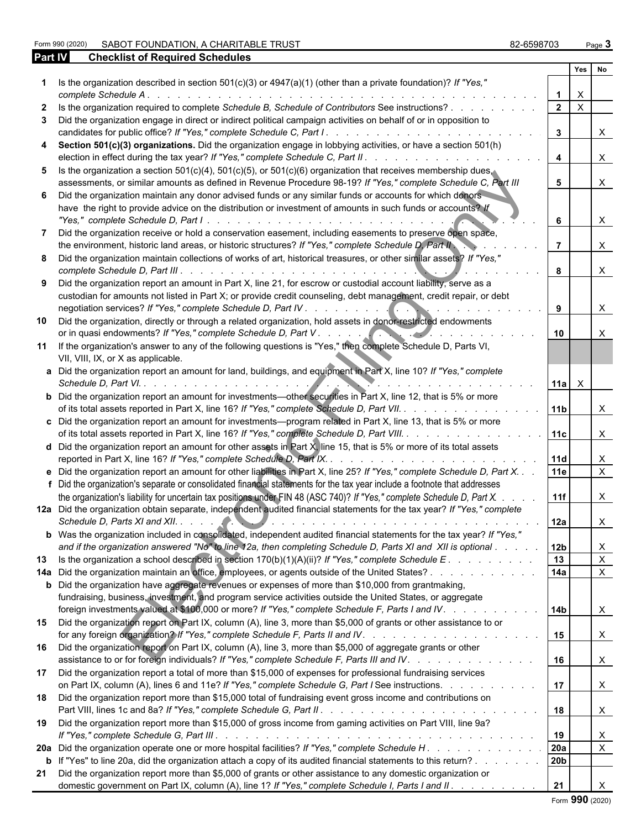Form 990 (2020) SABOT FOUNDATION, A CHARITABLE TRUST<br>**Part IV Checklist of Required Schedules** 

| 82-6598703 | Page 3 |
|------------|--------|
|------------|--------|

| Part IV      | <b>Checklist of Required Schedules</b>                                                                                                                                                                                                                                                                                                                                   |                 |              |                   |
|--------------|--------------------------------------------------------------------------------------------------------------------------------------------------------------------------------------------------------------------------------------------------------------------------------------------------------------------------------------------------------------------------|-----------------|--------------|-------------------|
|              |                                                                                                                                                                                                                                                                                                                                                                          |                 | Yes          | <b>No</b>         |
|              | 1 Is the organization described in section 501(c)(3) or 4947(a)(1) (other than a private foundation)? If "Yes,"<br>complete Schedule A.<br>and a constitution of the constitution of the constitution of the constitution of the constitution of the constitution of the constitution of the constitution of the constitution of the constitution of the constitution of |                 | X            |                   |
| $\mathbf{2}$ | Is the organization required to complete Schedule B, Schedule of Contributors See instructions?                                                                                                                                                                                                                                                                          | $\overline{2}$  | $\mathsf{X}$ |                   |
|              | 3 Did the organization engage in direct or indirect political campaign activities on behalf of or in opposition to                                                                                                                                                                                                                                                       |                 |              |                   |
|              |                                                                                                                                                                                                                                                                                                                                                                          | $\mathbf{3}$    |              | X.                |
|              | 4 Section 501(c)(3) organizations. Did the organization engage in lobbying activities, or have a section 501(h)                                                                                                                                                                                                                                                          | $\overline{4}$  |              | X                 |
|              | 5 Is the organization a section 501(c)(4), 501(c)(5), or 501(c)(6) organization that receives membership dues.                                                                                                                                                                                                                                                           |                 |              |                   |
|              | assessments, or similar amounts as defined in Revenue Procedure 98-19? If "Yes," complete Schedule C, Part III                                                                                                                                                                                                                                                           | 5               |              | X.                |
|              | 6 Did the organization maintain any donor advised funds or any similar funds or accounts for which donors                                                                                                                                                                                                                                                                |                 |              |                   |
|              | have the right to provide advice on the distribution or investment of amounts in such funds or accounts? If                                                                                                                                                                                                                                                              | 6               |              | X                 |
| 7            | Did the organization receive or hold a conservation easement, including easements to preserve open space,                                                                                                                                                                                                                                                                |                 |              |                   |
|              | the environment, historic land areas, or historic structures? If "Yes," complete Schedule D, Part II                                                                                                                                                                                                                                                                     |                 |              | X.                |
|              | 8 Did the organization maintain collections of works of art, historical treasures, or other similar assets? If "Yes,"                                                                                                                                                                                                                                                    | 8               |              | X                 |
|              | 9 Did the organization report an amount in Part X, line 21, for escrow or custodial account liability, serve as a                                                                                                                                                                                                                                                        |                 |              |                   |
|              | custodian for amounts not listed in Part X; or provide credit counseling, debt management, credit repair, or debt                                                                                                                                                                                                                                                        | 9               |              | X.                |
|              |                                                                                                                                                                                                                                                                                                                                                                          |                 |              |                   |
| 10           | Did the organization, directly or through a related organization, hold assets in donor-restricted endowments<br>or in quasi endowments? If "Yes," complete Schedule D, Part V.                                                                                                                                                                                           | 10              |              |                   |
|              | 11 If the organization's answer to any of the following questions is "Yes," then complete Schedule D, Parts VI,<br>VII, VIII, IX, or X as applicable.                                                                                                                                                                                                                    |                 |              |                   |
|              | a Did the organization report an amount for land, buildings, and equipment in Part X, line 10? If "Yes," complete<br>Schedule D, Part VI. .<br>and a straight and a straight and                                                                                                                                                                                         | 11a             | $\mathsf{X}$ |                   |
|              | <b>b</b> Did the organization report an amount for investments—other securities in Part X, line 12, that is 5% or more<br>of its total assets reported in Part X, line 16? If "Yes," complete Schedule D, Part VII.                                                                                                                                                      | 11b             |              | X.                |
|              | c Did the organization report an amount for investments—program related in Part X, line 13, that is 5% or more                                                                                                                                                                                                                                                           |                 |              |                   |
|              | of its total assets reported in Part X, line 16? If "Yes," complete Schedule D, Part VIII.                                                                                                                                                                                                                                                                               | 11c             |              | X                 |
|              | <b>d</b> Did the organization report an amount for other assets in Part $X$ , line 15, that is 5% or more of its total assets                                                                                                                                                                                                                                            |                 |              |                   |
|              | reported in Part X, line 16? If "Yes," complete Schedule D, Part IX<br>.                                                                                                                                                                                                                                                                                                 | <b>11d</b>      |              | X.                |
|              | e Did the organization report an amount for other liabilities in Part X, line 25? If "Yes," complete Schedule D, Part X.<br>f Did the organization's separate or consolidated financial statements for the tax year include a footnote that addresses                                                                                                                    | 11e             |              | $\mathsf{X}$      |
|              | the organization's liability for uncertain tax positions under FIN 48 (ASC 740)? If "Yes," complete Schedule D, Part X.                                                                                                                                                                                                                                                  | 11f             |              | X.                |
|              | 12a Did the organization obtain separate, independent audited financial statements for the tax year? If "Yes," complete                                                                                                                                                                                                                                                  |                 |              |                   |
|              |                                                                                                                                                                                                                                                                                                                                                                          | l 12a           |              | X                 |
|              | b Was the organization included in consolidated, independent audited financial statements for the tax year? If "Yes,"                                                                                                                                                                                                                                                    |                 |              |                   |
|              | and if the organization answered "No" to line 12a, then completing Schedule D, Parts XI and XII is optional                                                                                                                                                                                                                                                              | 12b             |              | X                 |
|              | 13 Is the organization a school described in section 170(b)(1)(A)(ii)? If "Yes," complete Schedule E.                                                                                                                                                                                                                                                                    | 13              |              | $\mathsf{X}$      |
|              | 14a Did the organization maintain an office, employees, or agents outside of the United States?                                                                                                                                                                                                                                                                          | 14a             |              | $\mathsf{X}$      |
|              | <b>b</b> Did the organization have aggregate revenues or expenses of more than \$10,000 from grantmaking,                                                                                                                                                                                                                                                                |                 |              |                   |
|              | fundraising, business, investment, and program service activities outside the United States, or aggregate<br>foreign investments valued at \$100,000 or more? If "Yes," complete Schedule F, Parts I and IV. 14b                                                                                                                                                         |                 |              | $\mathsf{X}$      |
|              | 15 Did the organization report on Part IX, column (A), line 3, more than \$5,000 of grants or other assistance to or                                                                                                                                                                                                                                                     | 15              |              | $\mathsf{X}$      |
|              | 16 Did the organization report on Part IX, column (A), line 3, more than \$5,000 of aggregate grants or other<br>assistance to or for foreign individuals? If "Yes," complete Schedule F, Parts III and IV.                                                                                                                                                              | 16              |              | $\mathsf{X}$      |
|              | 17 Did the organization report a total of more than \$15,000 of expenses for professional fundraising services                                                                                                                                                                                                                                                           |                 |              |                   |
|              | on Part IX, column (A), lines 6 and 11e? If "Yes," complete Schedule G, Part I See instructions.                                                                                                                                                                                                                                                                         | 17 <sup>2</sup> |              | $\mathsf{X}$      |
|              | 18 Did the organization report more than \$15,000 total of fundraising event gross income and contributions on                                                                                                                                                                                                                                                           | 18              |              | $\mathsf{X}$      |
|              | 19 Did the organization report more than \$15,000 of gross income from gaming activities on Part VIII, line 9a?                                                                                                                                                                                                                                                          |                 |              |                   |
|              |                                                                                                                                                                                                                                                                                                                                                                          | 19<br>20a       |              | X<br>$\mathsf{X}$ |
|              | 20a Did the organization operate one or more hospital facilities? If "Yes," complete Schedule H.                                                                                                                                                                                                                                                                         | 20b             |              |                   |
|              | <b>b</b> If "Yes" to line 20a, did the organization attach a copy of its audited financial statements to this return?                                                                                                                                                                                                                                                    |                 |              |                   |
|              | 21 Did the organization report more than \$5,000 of grants or other assistance to any domestic organization or<br>domestic government on Part IX, column (A), line 1? If "Yes," complete Schedule I, Parts I and II.                                                                                                                                                     | 21              |              |                   |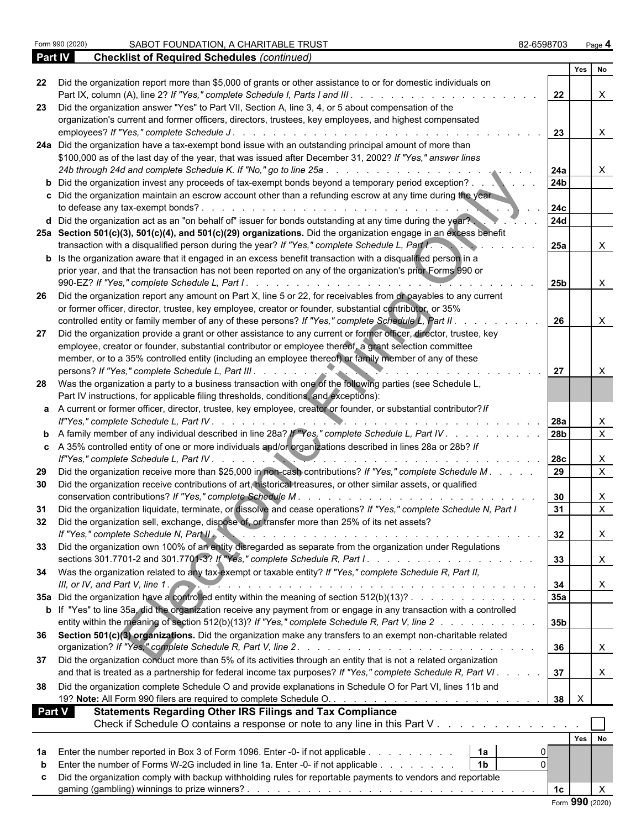|               |                                                                                                                                                                                                                                                                    | Yes No             |                           |
|---------------|--------------------------------------------------------------------------------------------------------------------------------------------------------------------------------------------------------------------------------------------------------------------|--------------------|---------------------------|
| 22            | Did the organization report more than \$5,000 of grants or other assistance to or for domestic individuals on<br>Part IX, column (A), line 2? If "Yes," complete Schedule I, Parts I and III.                                                                      | 22                 | X                         |
| 23            | Did the organization answer "Yes" to Part VII, Section A, line 3, 4, or 5 about compensation of the<br>organization's current and former officers, directors, trustees, key employees, and highest compensated                                                     |                    |                           |
|               | employees? If "Yes," complete Schedule J.                                                                                                                                                                                                                          | 23                 | $\mathsf{X}$              |
|               | 24a Did the organization have a tax-exempt bond issue with an outstanding principal amount of more than                                                                                                                                                            |                    |                           |
|               | \$100,000 as of the last day of the year, that was issued after December 31, 2002? If "Yes," answer lines                                                                                                                                                          |                    |                           |
|               | 24b through 24d and complete Schedule K. If "No," go to line 25a<br>and the state of the state of the state of the state of the state of the state of the state of the state of the                                                                                | <b>24a</b>         | X                         |
|               | <b>b</b> Did the organization invest any proceeds of tax-exempt bonds beyond a temporary period exception?                                                                                                                                                         | 24 <sub>b</sub>    |                           |
|               | c Did the organization maintain an escrow account other than a refunding escrow at any time during the year                                                                                                                                                        |                    |                           |
|               | to defease any tax-exempt bonds?.<br>and a construction of the construction of the construction of the construction of the construction of the construction of the construction of the construction of the construction of the construction of the construction of | 24c                |                           |
|               | d Did the organization act as an "on behalf of" issuer for bonds outstanding at any time during the year?                                                                                                                                                          | <b>24d</b>         |                           |
|               | 25a Section 501(c)(3), 501(c)(4), and 501(c)(29) organizations. Did the organization engage in an excess benefit                                                                                                                                                   |                    |                           |
|               | transaction with a disqualified person during the year? If "Yes," complete Schedule L, Part I.                                                                                                                                                                     | <b>25a</b>         | X                         |
|               | <b>b</b> Is the organization aware that it engaged in an excess benefit transaction with a disqualified person in a                                                                                                                                                |                    |                           |
|               | prior year, and that the transaction has not been reported on any of the organization's prior Forms 990 or                                                                                                                                                         |                    |                           |
|               |                                                                                                                                                                                                                                                                    | <b>25b</b>         | $\boldsymbol{\mathsf{X}}$ |
| -26           | Did the organization report any amount on Part X, line 5 or 22, for receivables from or payables to any current                                                                                                                                                    |                    |                           |
|               | or former officer, director, trustee, key employee, creator or founder, substantial contributor, or 35%                                                                                                                                                            |                    |                           |
|               | controlled entity or family member of any of these persons? If "Yes," complete Schedule L, Part II.                                                                                                                                                                | 26                 | X                         |
| 27            | Did the organization provide a grant or other assistance to any current or former officer, director, trustee, key                                                                                                                                                  |                    |                           |
|               | employee, creator or founder, substantial contributor or employee thereof, a grant selection committee                                                                                                                                                             |                    |                           |
|               | member, or to a 35% controlled entity (including an employee thereof) or family member of any of these                                                                                                                                                             |                    |                           |
|               | persons? If "Yes," complete Schedule L, Part III.                                                                                                                                                                                                                  | 27                 | X                         |
|               | 28 Was the organization a party to a business transaction with one of the following parties (see Schedule L,                                                                                                                                                       |                    |                           |
|               | Part IV instructions, for applicable filing thresholds, conditions, and exceptions):                                                                                                                                                                               |                    |                           |
|               | a A current or former officer, director, trustee, key employee, creator or founder, or substantial contributor? If                                                                                                                                                 |                    |                           |
|               |                                                                                                                                                                                                                                                                    |                    |                           |
|               |                                                                                                                                                                                                                                                                    | l 28a<br>28b       | X<br>$\overline{X}$       |
|               | <b>b</b> A family member of any individual described in line 28a? If "Yes," complete Schedule L, Part IV                                                                                                                                                           |                    |                           |
|               | c A 35% controlled entity of one or more individuals and/or organizations described in lines 28a or 28b? If                                                                                                                                                        |                    |                           |
|               |                                                                                                                                                                                                                                                                    | 28c                | X<br>$\overline{X}$       |
| 29            | Did the organization receive more than \$25,000 in non-cash contributions? If "Yes," complete Schedule M.                                                                                                                                                          | 29                 |                           |
| 30            | Did the organization receive contributions of art, historical treasures, or other similar assets, or qualified                                                                                                                                                     |                    |                           |
|               | conservation contributions? If "Yes," complete Schedule M.                                                                                                                                                                                                         | 30                 | X                         |
| 31            | Did the organization liquidate, terminate, or dissolve and cease operations? If "Yes," complete Schedule N, Part I                                                                                                                                                 | 31                 | $\mathsf{X}$              |
| 32            | Did the organization sell, exchange, dispose of, or transfer more than 25% of its net assets?                                                                                                                                                                      |                    |                           |
|               | If "Yes," complete Schedule N, Part II.                                                                                                                                                                                                                            | 32                 |                           |
|               | 33 Did the organization own 100% of an entity disregarded as separate from the organization under Regulations                                                                                                                                                      |                    |                           |
|               |                                                                                                                                                                                                                                                                    | 33                 |                           |
|               | 34 Was the organization related to any tax-exempt or taxable entity? If "Yes," complete Schedule R, Part II,                                                                                                                                                       |                    |                           |
|               | III, or IV, and Part V, line 1.                                                                                                                                                                                                                                    | 34                 |                           |
|               | 35a Did the organization have a controlled entity within the meaning of section 512(b)(13)?                                                                                                                                                                        | 35a                |                           |
|               | b If "Yes" to line 35a, did the organization receive any payment from or engage in any transaction with a controlled                                                                                                                                               |                    |                           |
|               | entity within the meaning of section 512(b)(13)? If "Yes," complete Schedule R, Part V, line 2                                                                                                                                                                     | 35b                |                           |
|               | 36 Section 501(c)(3) organizations. Did the organization make any transfers to an exempt non-charitable related                                                                                                                                                    |                    |                           |
|               |                                                                                                                                                                                                                                                                    | 36                 | X                         |
|               | 37 Did the organization conduct more than 5% of its activities through an entity that is not a related organization                                                                                                                                                |                    |                           |
|               | and that is treated as a partnership for federal income tax purposes? If "Yes," complete Schedule R, Part VI.                                                                                                                                                      | 37                 |                           |
| 38            | Did the organization complete Schedule O and provide explanations in Schedule O for Part VI, lines 11b and                                                                                                                                                         |                    |                           |
|               |                                                                                                                                                                                                                                                                    | $\mathsf{X}$<br>38 |                           |
| <b>Part V</b> | <b>Statements Regarding Other IRS Filings and Tax Compliance</b>                                                                                                                                                                                                   |                    |                           |
|               | Check if Schedule O contains a response or note to any line in this Part V                                                                                                                                                                                         |                    |                           |
|               |                                                                                                                                                                                                                                                                    | Yes No             |                           |
|               |                                                                                                                                                                                                                                                                    |                    |                           |
| 1a            | Enter the number reported in Box 3 of Form 1096. Enter -0- if not applicable<br>  1a<br>1 <sub>b</sub><br>$\Omega$                                                                                                                                                 |                    |                           |
|               | Enter the number of Forms W-2G included in line 1a. Enter -0- if not applicable                                                                                                                                                                                    |                    |                           |
|               | Did the organization comply with backup withholding rules for reportable payments to vendors and reportable                                                                                                                                                        |                    |                           |
|               | gaming (gambling) <u>winnings to prize winners?..................................</u>                                                                                                                                                                              | 1 <sub>c</sub>     | X                         |
|               |                                                                                                                                                                                                                                                                    | Form 990 (2020)    |                           |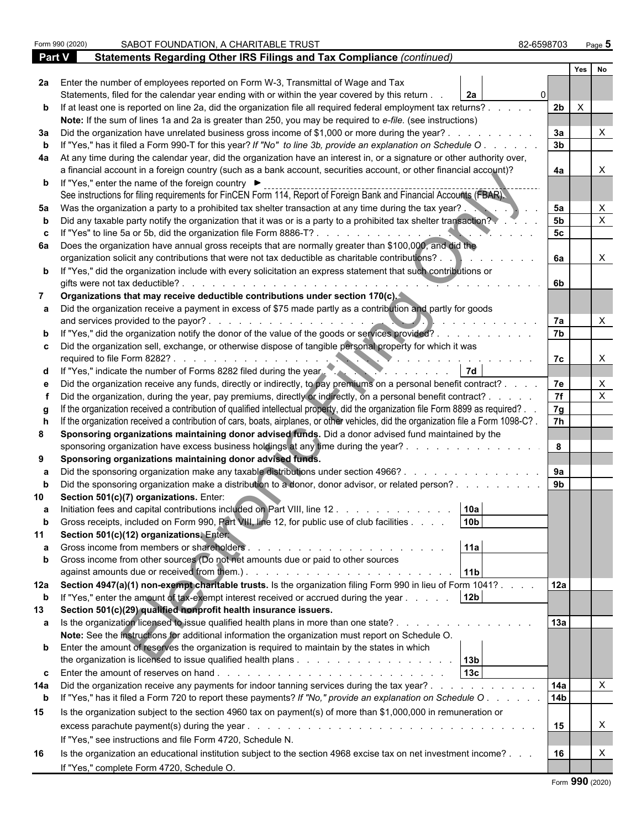|               | SABOT FOUNDATION, A CHARITABLE TRUST<br>Form 990 (2020)                                                                             | 82-6598703      | Page 5           |  |  |
|---------------|-------------------------------------------------------------------------------------------------------------------------------------|-----------------|------------------|--|--|
| <b>Part V</b> | Statements Regarding Other IRS Filings and Tax Compliance (continued)                                                               |                 |                  |  |  |
|               |                                                                                                                                     |                 | Yes<br><b>No</b> |  |  |
| 2a            | Enter the number of employees reported on Form W-3, Transmittal of Wage and Tax                                                     |                 |                  |  |  |
|               | Statements, filed for the calendar year ending with or within the year covered by this return.<br>2a                                |                 |                  |  |  |
| b             | If at least one is reported on line 2a, did the organization file all required federal employment tax returns?.                     | 2 <sub>b</sub>  | $\times$         |  |  |
|               | Note: If the sum of lines 1a and 2a is greater than 250, you may be required to e-file. (see instructions)                          |                 |                  |  |  |
| За            | Did the organization have unrelated business gross income of \$1,000 or more during the year?                                       | 3a              |                  |  |  |
|               | If "Yes," has it filed a Form 990-T for this year? If "No" to line 3b, provide an explanation on Schedule O                         | 3 <sub>b</sub>  |                  |  |  |
| 4a            | At any time during the calendar year, did the organization have an interest in, or a signature or other authority over,             |                 |                  |  |  |
|               | a financial account in a foreign country (such as a bank account, securities account, or other financial account)?                  | 4a              |                  |  |  |
|               | <b>b</b> If "Yes," enter the name of the foreign country ▶                                                                          |                 |                  |  |  |
|               | See instructions for filing requirements for FinCEN Form 114, Report of Foreign Bank and Financial Accounts (FBAR).                 |                 |                  |  |  |
| 5a            | Was the organization a party to a prohibited tax shelter transaction at any time during the tax year?.                              | 5a              | X                |  |  |
|               | Did any taxable party notify the organization that it was or is a party to a prohibited tax shelter transaction?                    | 5 <sub>b</sub>  | X                |  |  |
|               | If "Yes" to line 5a or 5b, did the organization file Form 8886-T?.                                                                  | 5 <sub>c</sub>  |                  |  |  |
| 6а            | Does the organization have annual gross receipts that are normally greater than \$100,000, and did the                              |                 |                  |  |  |
|               | organization solicit any contributions that were not tax deductible as charitable contributions? .                                  | 6a              | X                |  |  |
|               | b If "Yes," did the organization include with every solicitation an express statement that such contributions or                    |                 |                  |  |  |
|               | gifts were not tax deductible?.                                                                                                     | 6b              |                  |  |  |
|               | Organizations that may receive deductible contributions under section 170(c).                                                       |                 |                  |  |  |
|               | Did the organization receive a payment in excess of \$75 made partly as a contribution and partly for goods                         |                 |                  |  |  |
|               | and services provided to the payor?.                                                                                                | 7a              |                  |  |  |
|               | "Yes," did the organization notify the donor of the value of the goods or services provided?.                                       | 7b              |                  |  |  |
|               | Did the organization sell, exchange, or otherwise dispose of tangible personal property for which it was                            |                 |                  |  |  |
|               | required to file Form 8282?.                                                                                                        | 7c              | $\times$         |  |  |
|               | If "Yes," indicate the number of Forms 8282 filed during the year.                                                                  |                 |                  |  |  |
|               | Did the organization receive any funds, directly or indirectly, to pay premiums on a personal benefit contract?.                    | 7e              | X                |  |  |
|               | Did the organization, during the year, pay premiums, directly or indirectly, on a personal benefit contract? .                      | 7f              | $\mathsf{X}$     |  |  |
|               | If the organization received a contribution of qualified intellectual property, did the organization file Form 8899 as required?.   | 7g              |                  |  |  |
|               | If the organization received a contribution of cars, boats, airplanes, or other vehicles, did the organization file a Form 1098-C?. | 7h              |                  |  |  |
|               | Sponsoring organizations maintaining donor advised funds. Did a donor advised fund maintained by the                                |                 |                  |  |  |
|               | sponsoring organization have excess business holdings at any time during the year?.                                                 | 8               |                  |  |  |
| 9             | Sponsoring organizations maintaining donor advised funds.                                                                           |                 |                  |  |  |
|               | Did the sponsoring organization make any taxable distributions under section 4966?.                                                 | 9a              |                  |  |  |
|               | Did the sponsoring organization make a distribution to a donor, donor advisor, or related person?.                                  | 9 <sub>b</sub>  |                  |  |  |
|               | Section 501(c)(7) organizations. Enter:                                                                                             |                 |                  |  |  |
|               | 10a <br>Initiation fees and capital contributions included on Part VIII, line 12                                                    |                 |                  |  |  |
|               | 10 <sub>b</sub><br>Gross receipts, included on Form 990, Part VIII, line 12, for public use of club facilities .                    |                 |                  |  |  |
| 11            | Section 501(c)(12) organizations. Entert                                                                                            |                 |                  |  |  |
|               | 11a<br>Gross income from members or shareholders<br>and the state of the state of the state of the                                  |                 |                  |  |  |
|               | Gross income from other sources (Do not net amounts due or paid to other sources                                                    |                 |                  |  |  |
|               | 11 <sub>b</sub>                                                                                                                     |                 |                  |  |  |
| 12a           | Section 4947(a)(1) non-exempt charitable trusts. Is the organization filing Form 990 in lieu of Form 1041?.                         | 12a             |                  |  |  |
| b             | 12 <sub>b</sub><br>If "Yes," enter the amount of tax-exempt interest received or accrued during the year                            |                 |                  |  |  |
| 13            | Section 501(c)(29) qualified nonprofit health insurance issuers.                                                                    |                 |                  |  |  |
|               | Is the organization licensed to issue qualified health plans in more than one state?.                                               | 13a             |                  |  |  |
|               | Note: See the instructions for additional information the organization must report on Schedule O.                                   |                 |                  |  |  |
|               | <b>b</b> Enter the amount of reserves the organization is required to maintain by the states in which                               |                 |                  |  |  |
|               | 13 <sub>b</sub>                                                                                                                     |                 |                  |  |  |
| c             | 13c                                                                                                                                 |                 |                  |  |  |
| 14a           | Did the organization receive any payments for indoor tanning services during the tax year?.<br>the contract of the contract of the  | 14a             | X                |  |  |
| b             | If "Yes," has it filed a Form 720 to report these payments? If "No," provide an explanation on Schedule O                           | 14 <sub>b</sub> |                  |  |  |
| 15            | Is the organization subject to the section 4960 tax on payment(s) of more than \$1,000,000 in remuneration or                       |                 |                  |  |  |
|               |                                                                                                                                     | 15              | X                |  |  |
|               | If "Yes," see instructions and file Form 4720, Schedule N.                                                                          |                 |                  |  |  |
| 16            | Is the organization an educational institution subject to the section 4968 excise tax on net investment income?                     | 16              | X                |  |  |
|               | If "Yes," complete Form 4720, Schedule O.                                                                                           |                 |                  |  |  |
|               |                                                                                                                                     |                 |                  |  |  |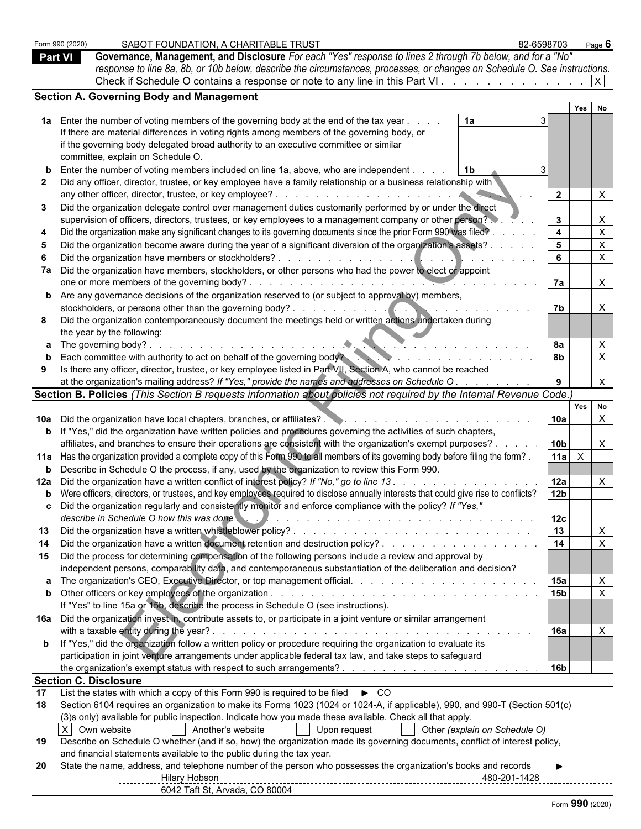|                | Form 990 (2020) | SABOT FOUNDATION, A CHARITABLE TRUST<br>82-6598703                                                                                                                                                                                                                                                                  |                         |     | Page $6$                        |  |
|----------------|-----------------|---------------------------------------------------------------------------------------------------------------------------------------------------------------------------------------------------------------------------------------------------------------------------------------------------------------------|-------------------------|-----|---------------------------------|--|
| <b>Part VI</b> |                 | Governance, Management, and Disclosure For each "Yes" response to lines 2 through 7b below, and for a "No"                                                                                                                                                                                                          |                         |     |                                 |  |
|                |                 | response to line 8a, 8b, or 10b below, describe the circumstances, processes, or changes on Schedule O. See instructions.                                                                                                                                                                                           |                         |     |                                 |  |
|                |                 | Check if Schedule O contains a response or note to any line in this Part VI.                                                                                                                                                                                                                                        |                         |     |                                 |  |
|                |                 | <b>Section A. Governing Body and Management</b>                                                                                                                                                                                                                                                                     |                         |     |                                 |  |
|                |                 |                                                                                                                                                                                                                                                                                                                     |                         | Yes | No                              |  |
|                |                 | 1a Enter the number of voting members of the governing body at the end of the tax year.<br>1a<br>If there are material differences in voting rights among members of the governing body, or                                                                                                                         |                         |     |                                 |  |
|                |                 | if the governing body delegated broad authority to an executive committee or similar<br>committee, explain on Schedule O.                                                                                                                                                                                           |                         |     |                                 |  |
|                |                 | <b>b</b> Enter the number of voting members included on line 1a, above, who are independent.<br>-1b                                                                                                                                                                                                                 |                         |     |                                 |  |
|                |                 | Did any officer, director, trustee, or key employee have a family relationship or a business relationship with<br>any other officer, director, trustee, or key employee?<br>and the contract of the contract of the con-                                                                                            | $\overline{2}$          |     | $\times$                        |  |
|                |                 | Did the organization delegate control over management duties customarily performed by or under the direct                                                                                                                                                                                                           |                         |     |                                 |  |
|                |                 | supervision of officers, directors, trustees, or key employees to a management company or other person?                                                                                                                                                                                                             | $\mathbf{3}$            |     | $\mathsf{X}$                    |  |
|                |                 | Did the organization make any significant changes to its governing documents since the prior Form 990 was filed?                                                                                                                                                                                                    | $\overline{\mathbf{4}}$ |     | $\boldsymbol{\mathsf{X}}$       |  |
|                |                 | Did the organization become aware during the year of a significant diversion of the organization's assets? .                                                                                                                                                                                                        | $5^{\circ}$             |     | $\boldsymbol{\mathsf{X}}$       |  |
|                |                 | Did the organization have members or stockholders?.<br>7a Did the organization have members, stockholders, or other persons who had the power to elect or appoint                                                                                                                                                   | 6                       |     | $\boldsymbol{\mathsf{X}}$       |  |
|                |                 | one or more members of the governing body?.                                                                                                                                                                                                                                                                         | 7a                      |     | $\boldsymbol{\mathsf{X}}$       |  |
|                |                 | <b>b</b> Are any governance decisions of the organization reserved to (or subject to approval by) members,                                                                                                                                                                                                          |                         |     |                                 |  |
|                |                 | stockholders, or persons other than the governing body?.<br><u>and the second second second</u>                                                                                                                                                                                                                     | 7b                      |     |                                 |  |
|                |                 | Did the organization contemporaneously document the meetings held or written actions undertaken during                                                                                                                                                                                                              |                         |     |                                 |  |
|                |                 | the year by the following:                                                                                                                                                                                                                                                                                          | 8а                      |     |                                 |  |
|                |                 | <b>b</b> Each committee with authority to act on behalf of the governing body?<br>$\frac{1}{2}$ . The state of the state of the state of the state of the state of the state of the state of the state of the state of the state of the state of the state of the state of the state of the state of the state of t | 8b                      |     | $\boldsymbol{\mathsf{X}}$       |  |
|                |                 | Is there any officer, director, trustee, or key employee listed in Part VII, Section A, who cannot be reached                                                                                                                                                                                                       |                         |     |                                 |  |
|                |                 | at the organization's mailing address? If "Yes," provide the names and addresses on Schedule O.                                                                                                                                                                                                                     | 9                       |     | $\times$                        |  |
|                |                 | Section B. Policies (This Section B requests information about policies not required by the Internal Revenue Code.)                                                                                                                                                                                                 |                         |     |                                 |  |
|                |                 |                                                                                                                                                                                                                                                                                                                     | 10a                     | Yes | No<br>$\boldsymbol{\mathsf{X}}$ |  |
|                |                 | <b>b</b> If "Yes," did the organization have written policies and procedures governing the activities of such chapters,                                                                                                                                                                                             |                         |     |                                 |  |
|                |                 | affiliates, and branches to ensure their operations are consistent with the organization's exempt purposes? .                                                                                                                                                                                                       | 10 <sub>b</sub>         |     |                                 |  |
|                |                 | 11a Has the organization provided a complete copy of this Form 990 to all members of its governing body before filing the form?.                                                                                                                                                                                    | 11a                     |     |                                 |  |
|                |                 | <b>b</b> Describe in Schedule O the process, if any, used by the organization to review this Form 990.                                                                                                                                                                                                              |                         |     |                                 |  |
|                |                 | 12a Did the organization have a written conflict of interest policy? If "No," go to line 13.                                                                                                                                                                                                                        | 12a                     |     |                                 |  |
|                |                 | b Were officers, directors, or trustees, and key employees required to disclose annually interests that could give rise to conflicts?<br>c Did the organization regularly and consistently monitor and enforce compliance with the policy? If "Yes,"                                                                | 12 <sub>b</sub>         |     |                                 |  |
|                |                 | describe in Schedule O how this was done                                                                                                                                                                                                                                                                            | 12c                     |     |                                 |  |
|                |                 |                                                                                                                                                                                                                                                                                                                     | $\overline{13}$         |     |                                 |  |
|                |                 |                                                                                                                                                                                                                                                                                                                     | $\overline{14}$         |     |                                 |  |
|                |                 | 15 Did the process for determining compensation of the following persons include a review and approval by                                                                                                                                                                                                           |                         |     |                                 |  |
|                |                 | independent persons, comparability data, and contemporaneous substantiation of the deliberation and decision?                                                                                                                                                                                                       |                         |     |                                 |  |
|                |                 |                                                                                                                                                                                                                                                                                                                     | 15a<br>15 <sub>b</sub>  |     | $\mathsf{X}$                    |  |
|                |                 | If "Yes" to line 15a or 15b, describe the process in Schedule O (see instructions).                                                                                                                                                                                                                                 |                         |     |                                 |  |
|                |                 | 16a Did the organization invest in, contribute assets to, or participate in a joint venture or similar arrangement                                                                                                                                                                                                  |                         |     |                                 |  |
|                |                 |                                                                                                                                                                                                                                                                                                                     | 16a                     |     |                                 |  |
|                |                 | b If "Yes," did the organization follow a written policy or procedure requiring the organization to evaluate its                                                                                                                                                                                                    |                         |     |                                 |  |
|                |                 | participation in joint venture arrangements under applicable federal tax law, and take steps to safeguard                                                                                                                                                                                                           |                         |     |                                 |  |
|                |                 |                                                                                                                                                                                                                                                                                                                     | 16 <sub>b</sub>         |     |                                 |  |
| 17             |                 | <b>Section C. Disclosure</b>                                                                                                                                                                                                                                                                                        |                         |     |                                 |  |
| 18             |                 | Section 6104 requires an organization to make its Forms 1023 (1024 or 1024-A, if applicable), 990, and 990-T (Section 501(c)                                                                                                                                                                                        |                         |     |                                 |  |
|                |                 | (3)s only) available for public inspection. Indicate how you made these available. Check all that apply.                                                                                                                                                                                                            |                         |     |                                 |  |
|                |                 | X Own website<br>Another's website<br>    Upon request<br>Other (explain on Schedule O)                                                                                                                                                                                                                             |                         |     |                                 |  |
| 19             |                 | Describe on Schedule O whether (and if so, how) the organization made its governing documents, conflict of interest policy,                                                                                                                                                                                         |                         |     |                                 |  |
| 20             |                 | and financial statements available to the public during the tax year.<br>State the name, address, and telephone number of the person who possesses the organization's books and records                                                                                                                             |                         |     |                                 |  |
|                |                 | Hilary Hobson                                                                                                                                                                                                                                                                                                       |                         |     |                                 |  |
|                |                 | ----------- <del>----</del><br>6042 Taft St, Arvada, CO 80004                                                                                                                                                                                                                                                       |                         |     |                                 |  |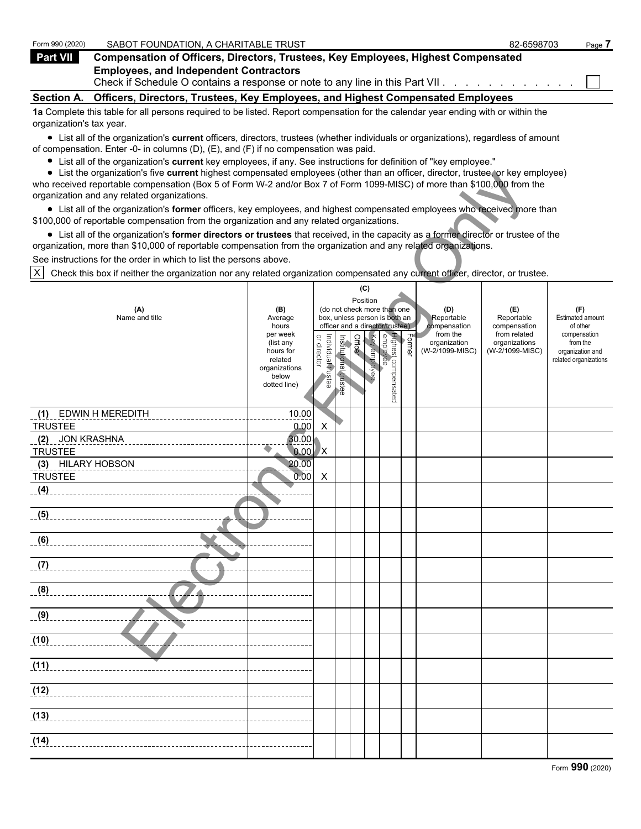| Form 990 (2020)<br>SABOT FOUNDATION, A CHARITABLE TRUST                                                                                                                                                                     | 82-6598703 | Page 7 |
|-----------------------------------------------------------------------------------------------------------------------------------------------------------------------------------------------------------------------------|------------|--------|
| Part VII<br>Compensation of Officers, Directors, Trustees, Key Employees, Highest Compensated                                                                                                                               |            |        |
| <b>Employees, and Independent Contractors</b><br>Check if Schedule O contains a response or note to any line in this Part VII. $\ldots$ , $\ldots$ , $\ldots$                                                               |            |        |
| Officers, Directors, Trustees, Key Employees, and Highest Compensated Employees<br><b>Section A.</b>                                                                                                                        |            |        |
| 1a Complete this table for all persons required to be listed. Report compensation for the calendar year ending with or within the<br>organization's tax year.                                                               |            |        |
| • List all of the organization's current officers, directors, trustees (whether individuals or organizations), regardless of amount<br>of compensation. Enter -0- in columns (D), (E), and (F) if no compensation was paid. |            |        |

List all of the organization's **current** key employees, if any. See instructions for definition of "key employee."

List the organization's five **current** highest compensated employees (other than an officer, director, trustee, or key employee) who received reportable compensation (Box 5 of Form W-2 and/or Box 7 of Form 1099-MISC) of more than \$100,000 from the organization and any related organizations.

| $\bullet$ List the organization's five current highest compensated employees (other than an officer, director, trustee, or key employee)<br>who received reportable compensation (Box 5 of Form W-2 and/or Box 7 of Form 1099-MISC) of more than \$100,000 from the |                        |                                   |                       |         |              |                                       |        |                                 |                                  |                              |
|---------------------------------------------------------------------------------------------------------------------------------------------------------------------------------------------------------------------------------------------------------------------|------------------------|-----------------------------------|-----------------------|---------|--------------|---------------------------------------|--------|---------------------------------|----------------------------------|------------------------------|
| organization and any related organizations.                                                                                                                                                                                                                         |                        |                                   |                       |         |              |                                       |        |                                 |                                  |                              |
| • List all of the organization's former officers, key employees, and highest compensated employees who received more than<br>\$100,000 of reportable compensation from the organization and any related organizations.                                              |                        |                                   |                       |         |              |                                       |        |                                 |                                  |                              |
| • List all of the organization's former directors or trustees that received, in the capacity as a former director or trustee of the                                                                                                                                 |                        |                                   |                       |         |              |                                       |        |                                 |                                  |                              |
| organization, more than \$10,000 of reportable compensation from the organization and any related organizations.                                                                                                                                                    |                        |                                   |                       |         |              |                                       |        |                                 |                                  |                              |
| See instructions for the order in which to list the persons above.                                                                                                                                                                                                  |                        |                                   |                       |         |              |                                       |        |                                 |                                  |                              |
| X<br>Check this box if neither the organization nor any related organization compensated any current officer, director, or trustee.                                                                                                                                 |                        |                                   |                       |         |              |                                       |        |                                 |                                  |                              |
|                                                                                                                                                                                                                                                                     |                        |                                   |                       |         | (C)          |                                       |        |                                 |                                  |                              |
| (A)                                                                                                                                                                                                                                                                 | (B)                    |                                   |                       |         | Position     | (do not check more than one           |        | (D)                             | (E)                              | (F)                          |
| Name and title                                                                                                                                                                                                                                                      | Average                |                                   |                       |         |              | box, unless person is both an         |        | Reportable                      | Reportable                       | <b>Estimated amount</b>      |
|                                                                                                                                                                                                                                                                     | hours<br>per week      |                                   |                       |         |              | officer and a director/trustee)       |        | compensation<br>from the        | compensation<br>from related     | of other<br>compensation     |
|                                                                                                                                                                                                                                                                     | (list any<br>hours for | or director<br>Individual trustee | Institutional trustee | Officer | Key employee | Highest compensated<br>  employee<br> | Former | organization<br>(W-2/1099-MISC) | organizations<br>(W-2/1099-MISC) | from the<br>organization and |
|                                                                                                                                                                                                                                                                     | related                |                                   |                       |         |              |                                       |        |                                 |                                  | related organizations        |
|                                                                                                                                                                                                                                                                     | organizations<br>below |                                   |                       |         |              |                                       |        |                                 |                                  |                              |
|                                                                                                                                                                                                                                                                     | dotted line)           |                                   |                       |         |              |                                       |        |                                 |                                  |                              |
|                                                                                                                                                                                                                                                                     |                        |                                   |                       |         |              |                                       |        |                                 |                                  |                              |
| <b>EDWIN H MEREDITH</b><br>(1)                                                                                                                                                                                                                                      | 10.00                  |                                   |                       |         |              |                                       |        |                                 |                                  |                              |
| <b>TRUSTEE</b>                                                                                                                                                                                                                                                      | 0.00                   | X                                 |                       |         |              |                                       |        |                                 |                                  |                              |
| <b>JON KRASHNA</b><br>(2)                                                                                                                                                                                                                                           | 30.00                  |                                   |                       |         |              |                                       |        |                                 |                                  |                              |
| <b>TRUSTEE</b><br>(3) HILARY HOBSON                                                                                                                                                                                                                                 | 0.00<br>20.00          | <b>X</b>                          |                       |         |              |                                       |        |                                 |                                  |                              |
| <b>TRUSTEE</b>                                                                                                                                                                                                                                                      | 0.00                   | X                                 |                       |         |              |                                       |        |                                 |                                  |                              |
| (4)                                                                                                                                                                                                                                                                 |                        |                                   |                       |         |              |                                       |        |                                 |                                  |                              |
|                                                                                                                                                                                                                                                                     |                        |                                   |                       |         |              |                                       |        |                                 |                                  |                              |
| (5)                                                                                                                                                                                                                                                                 |                        |                                   |                       |         |              |                                       |        |                                 |                                  |                              |
| (6)                                                                                                                                                                                                                                                                 |                        |                                   |                       |         |              |                                       |        |                                 |                                  |                              |
|                                                                                                                                                                                                                                                                     |                        |                                   |                       |         |              |                                       |        |                                 |                                  |                              |
| (7)                                                                                                                                                                                                                                                                 |                        |                                   |                       |         |              |                                       |        |                                 |                                  |                              |
|                                                                                                                                                                                                                                                                     |                        |                                   |                       |         |              |                                       |        |                                 |                                  |                              |
| (8)                                                                                                                                                                                                                                                                 |                        |                                   |                       |         |              |                                       |        |                                 |                                  |                              |
| (9)                                                                                                                                                                                                                                                                 |                        |                                   |                       |         |              |                                       |        |                                 |                                  |                              |
|                                                                                                                                                                                                                                                                     |                        |                                   |                       |         |              |                                       |        |                                 |                                  |                              |
| (10)                                                                                                                                                                                                                                                                |                        |                                   |                       |         |              |                                       |        |                                 |                                  |                              |
|                                                                                                                                                                                                                                                                     |                        |                                   |                       |         |              |                                       |        |                                 |                                  |                              |
| (11)                                                                                                                                                                                                                                                                |                        |                                   |                       |         |              |                                       |        |                                 |                                  |                              |
|                                                                                                                                                                                                                                                                     |                        |                                   |                       |         |              |                                       |        |                                 |                                  |                              |
| (12)                                                                                                                                                                                                                                                                |                        |                                   |                       |         |              |                                       |        |                                 |                                  |                              |
|                                                                                                                                                                                                                                                                     |                        |                                   |                       |         |              |                                       |        |                                 |                                  |                              |
| (13)                                                                                                                                                                                                                                                                |                        |                                   |                       |         |              |                                       |        |                                 |                                  |                              |
| (14)                                                                                                                                                                                                                                                                |                        |                                   |                       |         |              |                                       |        |                                 |                                  |                              |
|                                                                                                                                                                                                                                                                     |                        |                                   |                       |         |              |                                       |        |                                 |                                  |                              |
|                                                                                                                                                                                                                                                                     |                        |                                   |                       |         |              |                                       |        |                                 |                                  |                              |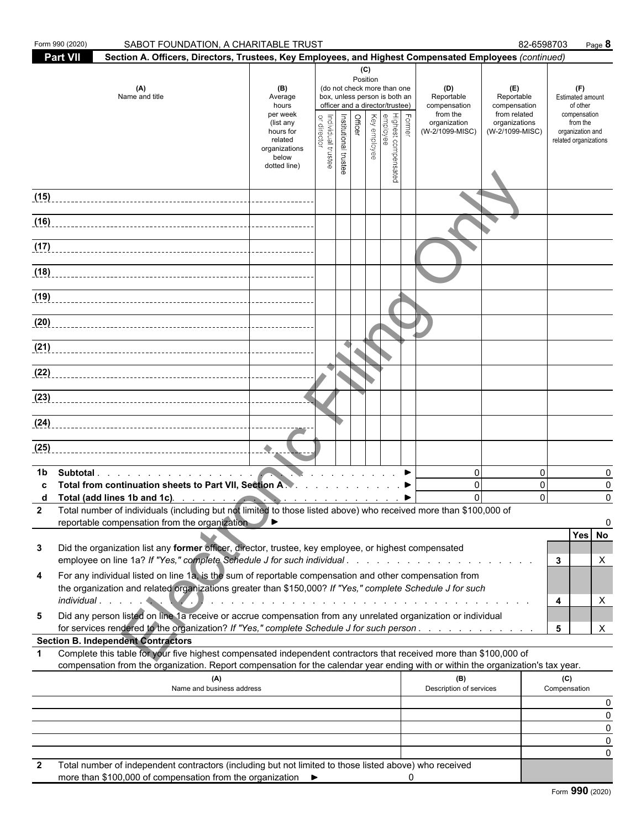| Form 990 (2020) | SABOT FOUNDATION, A CHARITABLE TRUST                                                                                                                                                                                                                                                                                                                                                                                                                                       |                                                                                                                    |                                |                       |                |                                 |                                                                                                                                    |        |                                                                                                                                                                                                                               |                                                                                       | 82-6598703                       | Page 8                                                                                                       |
|-----------------|----------------------------------------------------------------------------------------------------------------------------------------------------------------------------------------------------------------------------------------------------------------------------------------------------------------------------------------------------------------------------------------------------------------------------------------------------------------------------|--------------------------------------------------------------------------------------------------------------------|--------------------------------|-----------------------|----------------|---------------------------------|------------------------------------------------------------------------------------------------------------------------------------|--------|-------------------------------------------------------------------------------------------------------------------------------------------------------------------------------------------------------------------------------|---------------------------------------------------------------------------------------|----------------------------------|--------------------------------------------------------------------------------------------------------------|
| <b>Part VII</b> | Section A. Officers, Directors, Trustees, Key Employees, and Highest Compensated Employees (continued)                                                                                                                                                                                                                                                                                                                                                                     |                                                                                                                    |                                |                       |                |                                 |                                                                                                                                    |        |                                                                                                                                                                                                                               |                                                                                       |                                  |                                                                                                              |
|                 | (A)<br>Name and title                                                                                                                                                                                                                                                                                                                                                                                                                                                      | (B)<br>Average<br>hours<br>per week<br>(list any<br>hours for<br>related<br>organizations<br>below<br>dotted line) | Individual trustee<br>director | Institutional trustee | <b>Officer</b> | (C)<br>Position<br>Key employee | (do not check more than one<br>box, unless person is both an<br>officer and a director/trustee)<br>Highest compensated<br>employee | Former | (D)<br>Reportable<br>compensation<br>from the<br>organization<br>(W-2/1099-MISC)                                                                                                                                              | (E)<br>Reportable<br>compensation<br>from related<br>organizations<br>(W-2/1099-MISC) |                                  | (F)<br>Estimated amount<br>of other<br>compensation<br>from the<br>organization and<br>related organizations |
| (15)            |                                                                                                                                                                                                                                                                                                                                                                                                                                                                            |                                                                                                                    |                                |                       |                |                                 |                                                                                                                                    |        |                                                                                                                                                                                                                               |                                                                                       |                                  |                                                                                                              |
| (16)            |                                                                                                                                                                                                                                                                                                                                                                                                                                                                            |                                                                                                                    |                                |                       |                |                                 |                                                                                                                                    |        |                                                                                                                                                                                                                               |                                                                                       |                                  |                                                                                                              |
| (17)            |                                                                                                                                                                                                                                                                                                                                                                                                                                                                            |                                                                                                                    |                                |                       |                |                                 |                                                                                                                                    |        |                                                                                                                                                                                                                               |                                                                                       |                                  |                                                                                                              |
| (18)            |                                                                                                                                                                                                                                                                                                                                                                                                                                                                            |                                                                                                                    |                                |                       |                |                                 |                                                                                                                                    |        |                                                                                                                                                                                                                               |                                                                                       |                                  |                                                                                                              |
| (19)            |                                                                                                                                                                                                                                                                                                                                                                                                                                                                            |                                                                                                                    |                                |                       |                |                                 |                                                                                                                                    |        |                                                                                                                                                                                                                               |                                                                                       |                                  |                                                                                                              |
|                 |                                                                                                                                                                                                                                                                                                                                                                                                                                                                            |                                                                                                                    |                                |                       |                |                                 |                                                                                                                                    |        |                                                                                                                                                                                                                               |                                                                                       |                                  |                                                                                                              |
|                 |                                                                                                                                                                                                                                                                                                                                                                                                                                                                            |                                                                                                                    |                                |                       |                |                                 |                                                                                                                                    |        |                                                                                                                                                                                                                               |                                                                                       |                                  |                                                                                                              |
|                 |                                                                                                                                                                                                                                                                                                                                                                                                                                                                            |                                                                                                                    |                                |                       |                |                                 |                                                                                                                                    |        |                                                                                                                                                                                                                               |                                                                                       |                                  |                                                                                                              |
|                 |                                                                                                                                                                                                                                                                                                                                                                                                                                                                            |                                                                                                                    |                                |                       |                |                                 |                                                                                                                                    |        |                                                                                                                                                                                                                               |                                                                                       |                                  |                                                                                                              |
|                 |                                                                                                                                                                                                                                                                                                                                                                                                                                                                            |                                                                                                                    |                                |                       |                |                                 |                                                                                                                                    |        |                                                                                                                                                                                                                               |                                                                                       |                                  |                                                                                                              |
| (25)            |                                                                                                                                                                                                                                                                                                                                                                                                                                                                            | $\begin{array}{c} \bullet \\ \bullet \end{array}$                                                                  |                                |                       |                |                                 |                                                                                                                                    |        |                                                                                                                                                                                                                               |                                                                                       |                                  |                                                                                                              |
| 1b<br>c<br>d    | Subtotal<br>Total from continuation sheets to Part VII, Section A.<br>Total (add lines 1b and 1c). The state of the state of the state of the state of the state of the state of the state of the state of the state of the state of the state of the state of the state of the state of the state o<br>Total number of individuals (including but not limited to those listed above) who received more than \$100,000 of<br>reportable compensation from the organization |                                                                                                                    |                                |                       |                |                                 |                                                                                                                                    |        | $\mathbf 0$<br>$\mathbf 0$<br>$\Omega$                                                                                                                                                                                        |                                                                                       | $\Omega$<br>$\Omega$<br>$\Omega$ | 0<br>0<br>0<br>0<br>Yes No                                                                                   |
| 3               | Did the organization list any former officer, director, trustee, key employee, or highest compensated<br>employee on line 1a? If "Yes," complete Schedule J for such individual                                                                                                                                                                                                                                                                                            |                                                                                                                    |                                |                       |                |                                 |                                                                                                                                    |        |                                                                                                                                                                                                                               |                                                                                       |                                  | X<br>3                                                                                                       |
| 4               | For any individual listed on line 1a, is the sum of reportable compensation and other compensation from<br>the organization and related organizations greater than \$150,000? If "Yes," complete Schedule J for such<br>individual experience of the service of the service of the service of the service of the service of the service                                                                                                                                    |                                                                                                                    |                                |                       |                |                                 |                                                                                                                                    |        | and a constitution of the constitution of the constitution of the constitution of the constitution of the constitution of the constitution of the constitution of the constitution of the constitution of the constitution of |                                                                                       |                                  | X<br>4                                                                                                       |
| 5               | Did any person listed on line 1a receive or accrue compensation from any unrelated organization or individual<br>for services rendered to the organization? If "Yes," complete Schedule J for such person                                                                                                                                                                                                                                                                  |                                                                                                                    |                                |                       |                |                                 |                                                                                                                                    |        |                                                                                                                                                                                                                               |                                                                                       |                                  | 5<br>X                                                                                                       |
|                 | <b>Section B. Independent Contractors</b>                                                                                                                                                                                                                                                                                                                                                                                                                                  |                                                                                                                    |                                |                       |                |                                 |                                                                                                                                    |        |                                                                                                                                                                                                                               |                                                                                       |                                  |                                                                                                              |
| $\mathbf 1$     | Complete this table for your five highest compensated independent contractors that received more than \$100,000 of<br>compensation from the organization. Report compensation for the calendar year ending with or within the organization's tax year.                                                                                                                                                                                                                     |                                                                                                                    |                                |                       |                |                                 |                                                                                                                                    |        |                                                                                                                                                                                                                               |                                                                                       |                                  |                                                                                                              |
|                 | (A)<br>Name and business address                                                                                                                                                                                                                                                                                                                                                                                                                                           |                                                                                                                    |                                |                       |                |                                 |                                                                                                                                    |        | (B)<br>Description of services                                                                                                                                                                                                |                                                                                       |                                  | (C)<br>Compensation                                                                                          |
|                 |                                                                                                                                                                                                                                                                                                                                                                                                                                                                            |                                                                                                                    |                                |                       |                |                                 |                                                                                                                                    |        |                                                                                                                                                                                                                               |                                                                                       |                                  | 0<br>0                                                                                                       |
|                 |                                                                                                                                                                                                                                                                                                                                                                                                                                                                            |                                                                                                                    |                                |                       |                |                                 |                                                                                                                                    |        |                                                                                                                                                                                                                               |                                                                                       |                                  | 0<br>0                                                                                                       |
|                 |                                                                                                                                                                                                                                                                                                                                                                                                                                                                            |                                                                                                                    |                                |                       |                |                                 |                                                                                                                                    |        |                                                                                                                                                                                                                               |                                                                                       |                                  | 0                                                                                                            |
| $\mathbf{2}$    | Total number of independent contractors (including but not limited to those listed above) who received<br>more than \$100,000 of compensation from the organization ▶                                                                                                                                                                                                                                                                                                      |                                                                                                                    |                                |                       |                |                                 |                                                                                                                                    | 0      |                                                                                                                                                                                                                               |                                                                                       |                                  |                                                                                                              |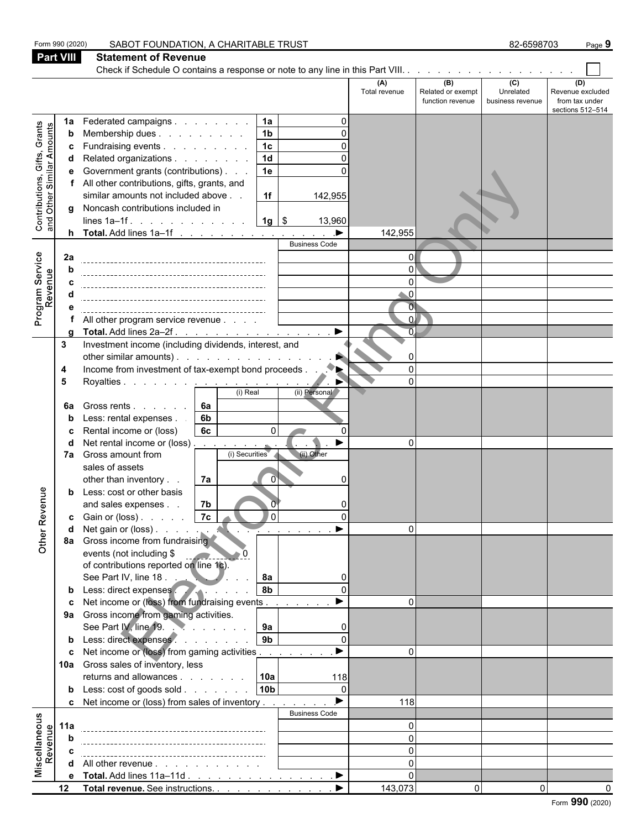|                                                                  | Form 990 (2020)  | SABOT FOUNDATION, A CHARITABLE TRUST                                                               |                            |                                              | 82-6598703                           | Page 9                                                        |
|------------------------------------------------------------------|------------------|----------------------------------------------------------------------------------------------------|----------------------------|----------------------------------------------|--------------------------------------|---------------------------------------------------------------|
|                                                                  | <b>Part VIII</b> | <b>Statement of Revenue</b>                                                                        |                            |                                              |                                      |                                                               |
|                                                                  |                  | Check if Schedule O contains a response or note to any line in this Part VIII.                     |                            |                                              |                                      |                                                               |
|                                                                  |                  |                                                                                                    | (A)<br>Total revenue       | (B)<br>Related or exempt<br>function revenue | (C)<br>Unrelated<br>business revenue | (D)<br>Revenue excluded<br>from tax under<br>sections 512-514 |
|                                                                  | 1a               | 1a<br>Federated campaigns<br>∩                                                                     |                            |                                              |                                      |                                                               |
| <b>Contributions, Gifts, Grants</b><br>and Other Similar Amounts | b                | 1 <sub>b</sub><br>Membership dues                                                                  |                            |                                              |                                      |                                                               |
|                                                                  | c                | 1 <sub>c</sub><br>Fundraising events                                                               |                            |                                              |                                      |                                                               |
|                                                                  | d                | 1 <sub>d</sub><br>Related organizations                                                            |                            |                                              |                                      |                                                               |
|                                                                  | е                | 1e<br>Government grants (contributions)                                                            |                            |                                              |                                      |                                                               |
|                                                                  | f                | All other contributions, gifts, grants, and<br>similar amounts not included above<br>1f<br>142,955 |                            |                                              |                                      |                                                               |
|                                                                  |                  | g Noncash contributions included in                                                                |                            |                                              |                                      |                                                               |
|                                                                  |                  | $1g$ \$<br>lines $1a-1f$ .<br>13,960                                                               |                            |                                              |                                      |                                                               |
|                                                                  |                  | $\blacktriangleright$<br><b>h</b> Total. Add lines $1a-1f$                                         | 142,955                    |                                              |                                      |                                                               |
|                                                                  |                  | <b>Business Code</b>                                                                               |                            |                                              |                                      |                                                               |
| Program Service<br>Revenue                                       | 2a               |                                                                                                    | $\Omega$                   |                                              |                                      |                                                               |
|                                                                  | h                |                                                                                                    | $\Omega$                   |                                              |                                      |                                                               |
|                                                                  |                  |                                                                                                    | $\Omega$<br>$\overline{0}$ |                                              |                                      |                                                               |
|                                                                  |                  |                                                                                                    | $\overline{0}$             |                                              |                                      |                                                               |
|                                                                  |                  | All other program service revenue                                                                  | ΩI                         |                                              |                                      |                                                               |
|                                                                  | O                | $\blacktriangleright$<br>Total. Add lines 2a-2f.                                                   |                            |                                              |                                      |                                                               |
|                                                                  | 3                | Investment income (including dividends, interest, and                                              |                            |                                              |                                      |                                                               |
|                                                                  |                  | other similar amounts).                                                                            |                            |                                              |                                      |                                                               |
|                                                                  | 4                | $\blacklozenge_\blacktriangleright$<br>Income from investment of tax-exempt bond proceeds.         | $\Omega$                   |                                              |                                      |                                                               |
|                                                                  | 5                | Royalties <u>.</u><br>(i) Real<br>(ii) Personal                                                    | $\Omega$                   |                                              |                                      |                                                               |
|                                                                  |                  | Gross rents 6a                                                                                     |                            |                                              |                                      |                                                               |
|                                                                  | 6a               | 6b<br>Less: rental expenses.                                                                       |                            |                                              |                                      |                                                               |
|                                                                  |                  | 6c<br>Rental income or (loss)<br>$\Omega$                                                          |                            |                                              |                                      |                                                               |
|                                                                  |                  | Net rental income or (loss).<br>▶<br><b>Contract Contract</b>                                      | $\Omega$                   |                                              |                                      |                                                               |
|                                                                  | 7a               | (i) Securities<br>(ii) Other<br>Gross amount from                                                  |                            |                                              |                                      |                                                               |
|                                                                  |                  | sales of assets                                                                                    |                            |                                              |                                      |                                                               |
|                                                                  |                  | 7a<br>other than inventory<br>$\overline{0}$                                                       |                            |                                              |                                      |                                                               |
| enue                                                             | b                | Less: cost or other basis                                                                          |                            |                                              |                                      |                                                               |
|                                                                  |                  | 7b<br>and sales expenses<br>7c<br>$\overline{0}$                                                   |                            |                                              |                                      |                                                               |
|                                                                  | c                | Gain or (loss)<br>$\mathcal{L}$ and $\mathcal{L}$ and $\mathcal{L}$                                | $\Omega$                   |                                              |                                      |                                                               |
| Other Rev                                                        |                  | $\sim$ $\sim$<br>8a Gross income from fundraising                                                  |                            |                                              |                                      |                                                               |
|                                                                  |                  | events (not including \$<br><u>and</u> and                                                         |                            |                                              |                                      |                                                               |
|                                                                  |                  | of contributions reported on line 1c).                                                             |                            |                                              |                                      |                                                               |
|                                                                  |                  | See Part IV, line 18.<br>8а                                                                        |                            |                                              |                                      |                                                               |
|                                                                  |                  | 8 <sub>b</sub><br><b>b</b> Less: direct expenses<br>$\Omega$                                       |                            |                                              |                                      |                                                               |
|                                                                  |                  | Net income or (loss) from fundraising events                                                       | $\Omega$                   |                                              |                                      |                                                               |
|                                                                  |                  | 9a Gross income from gaming activities.<br>9a<br>$\Omega$                                          |                            |                                              |                                      |                                                               |
|                                                                  |                  | 9 <sub>b</sub><br>b Less: direct expenses<br>$\Omega$                                              |                            |                                              |                                      |                                                               |
|                                                                  | C.               | ▶<br>Net income or (loss) from gaming activities                                                   | $\Omega$                   |                                              |                                      |                                                               |
|                                                                  |                  | 10a Gross sales of inventory, less                                                                 |                            |                                              |                                      |                                                               |
|                                                                  |                  | returns and allowances<br>10a<br>118                                                               |                            |                                              |                                      |                                                               |
|                                                                  |                  | 10 <sub>b</sub><br>$\Omega$<br><b>b</b> Less: cost of goods sold                                   |                            |                                              |                                      |                                                               |
|                                                                  |                  | $\blacktriangleright$<br><b>c</b> Net income or (loss) from sales of inventory                     | 118                        |                                              |                                      |                                                               |
| Miscellaneous<br>Revenue                                         |                  | <b>Business Code</b>                                                                               |                            |                                              |                                      |                                                               |
|                                                                  | 11a              |                                                                                                    | $\Omega$                   |                                              |                                      |                                                               |
|                                                                  |                  |                                                                                                    | $\Omega$<br>$\Omega$       |                                              |                                      |                                                               |
|                                                                  | d                | All other revenue                                                                                  | $\Omega$                   |                                              |                                      |                                                               |
|                                                                  |                  |                                                                                                    | $\Omega$                   |                                              |                                      |                                                               |
|                                                                  | 12 <sup>12</sup> | $\blacktriangleright$<br>Total revenue. See instructions.                                          | 143,073                    | 0                                            | 0                                    |                                                               |
|                                                                  |                  |                                                                                                    |                            |                                              |                                      |                                                               |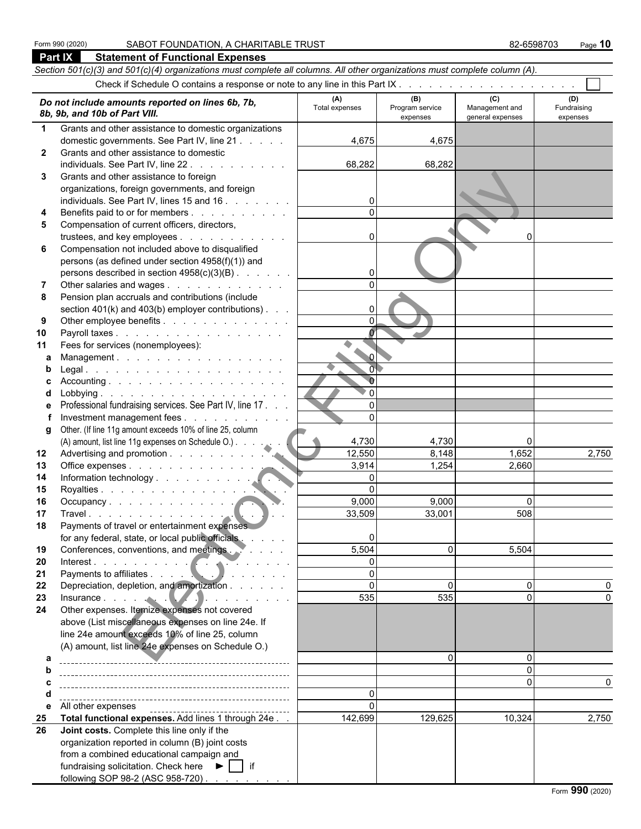## Form 990 (2020) SABOT FOUNDATION, A CHARITABLE TRUST **10.1 and 10.1 and 10.1 and 10.1 and 10.1 and 10.1 and 10**<br>Part IX Statement of Functional Expenses

| Part IX      | <b>Statement of Functional Expenses</b>                                                                                    |                         |                                    |                                           |                                |
|--------------|----------------------------------------------------------------------------------------------------------------------------|-------------------------|------------------------------------|-------------------------------------------|--------------------------------|
|              | Section 501(c)(3) and 501(c)(4) organizations must complete all columns. All other organizations must complete column (A). |                         |                                    |                                           |                                |
|              |                                                                                                                            |                         |                                    |                                           |                                |
|              | Do not include amounts reported on lines 6b, 7b,<br>8b, 9b, and 10b of Part VIII.                                          | (A)<br>Total expenses   | (B)<br>Program service<br>expenses | (C)<br>Management and<br>general expenses | (D)<br>Fundraising<br>expenses |
| 1            | Grants and other assistance to domestic organizations                                                                      |                         |                                    |                                           |                                |
|              | domestic governments. See Part IV, line 21                                                                                 | 4,675                   | 4,675                              |                                           |                                |
| $\mathbf{2}$ | Grants and other assistance to domestic                                                                                    |                         |                                    |                                           |                                |
|              | individuals. See Part IV, line 22                                                                                          | 68,282                  | 68,282                             |                                           |                                |
| 3            | Grants and other assistance to foreign                                                                                     |                         |                                    |                                           |                                |
|              | organizations, foreign governments, and foreign                                                                            |                         |                                    |                                           |                                |
|              | individuals. See Part IV, lines 15 and 16                                                                                  | 0                       |                                    |                                           |                                |
| 4            | Benefits paid to or for members                                                                                            | $\Omega$                |                                    |                                           |                                |
| 5            | Compensation of current officers, directors,                                                                               |                         |                                    |                                           |                                |
|              | trustees, and key employees                                                                                                | 0                       |                                    | $\Omega$                                  |                                |
| 6            | Compensation not included above to disqualified                                                                            |                         |                                    |                                           |                                |
|              | persons (as defined under section 4958(f)(1)) and                                                                          |                         |                                    |                                           |                                |
|              | persons described in section 4958(c)(3)(B)                                                                                 | 0                       |                                    |                                           |                                |
|              | Other salaries and wages                                                                                                   | $\Omega$                |                                    |                                           |                                |
| 8            | Pension plan accruals and contributions (include                                                                           |                         |                                    |                                           |                                |
|              | section $401(k)$ and $403(b)$ employer contributions).                                                                     | $\Omega$<br>$\mathbf 0$ |                                    |                                           |                                |
| 9            | Other employee benefits                                                                                                    |                         |                                    |                                           |                                |
| 10<br>11     | Payroll taxes<br>Fees for services (nonemployees):                                                                         |                         |                                    |                                           |                                |
| a            | Management.                                                                                                                |                         |                                    |                                           |                                |
| b            |                                                                                                                            | $\overline{0}$          |                                    |                                           |                                |
| C            |                                                                                                                            | $\mathbf{0}$            |                                    |                                           |                                |
| d            |                                                                                                                            | $\overline{0}$          |                                    |                                           |                                |
| е            | Professional fundraising services. See Part IV, line 17                                                                    | $\Omega$                |                                    |                                           |                                |
|              | Investment management fees                                                                                                 | $\Omega$                |                                    |                                           |                                |
|              | g Other. (If line 11g amount exceeds 10% of line 25, column                                                                |                         |                                    |                                           |                                |
|              | (A) amount, list line 11g expenses on Schedule O.)                                                                         | 4,730                   | 4,730                              | 0                                         |                                |
| 12           |                                                                                                                            | 12,550                  | 8,148                              | 1,652                                     | 2,750                          |
| 13           | Office expenses                                                                                                            | 3,914                   | 1,254                              | 2,660                                     |                                |
| 14           |                                                                                                                            | $\Omega$                |                                    |                                           |                                |
| 15           | Royalties                                                                                                                  | $\Omega$                |                                    |                                           |                                |
| 16           | Occupancy                                                                                                                  | 9,000                   | 9,000                              | $\Omega$                                  |                                |
| 17           |                                                                                                                            | 33,509                  | 33,001                             | 508                                       |                                |
| 18           | Payments of travel or entertainment expenses                                                                               |                         |                                    |                                           |                                |
|              | for any federal, state, or local public officials                                                                          | 0                       | $\Omega$                           |                                           |                                |
| 19           | Conferences, conventions, and meetings.                                                                                    | 5,504<br>0              |                                    | 5,504                                     |                                |
| 20<br>21     | Interest.                                                                                                                  | $\mathbf 0$             |                                    |                                           |                                |
| 22           | Depreciation, depletion, and amortization                                                                                  | $\mathbf{0}$            | ∩                                  | $\Omega$                                  |                                |
| 23           | Insurance $\ldots$ . $\ldots$ $\ldots$ $\ldots$ $\ldots$ $\ldots$                                                          | 535                     | 535                                | $\mathbf{0}$                              |                                |
| 24           | Other expenses. Itemize expenses not covered                                                                               |                         |                                    |                                           |                                |
|              | above (List miscellaneous expenses on line 24e. If                                                                         |                         |                                    |                                           |                                |
|              | line 24e amount exceeds 10% of line 25, column                                                                             |                         |                                    |                                           |                                |
|              | (A) amount, list line 24e expenses on Schedule O.)                                                                         |                         |                                    |                                           |                                |
| a            |                                                                                                                            |                         |                                    | $\Omega$                                  |                                |
| b            |                                                                                                                            |                         |                                    | $\Omega$                                  |                                |
|              |                                                                                                                            |                         |                                    | $\mathbf{0}$                              |                                |
| d            |                                                                                                                            | 0                       |                                    |                                           |                                |
| е            | All other expenses                                                                                                         | $\Omega$                |                                    |                                           |                                |
| 25           | Total functional expenses. Add lines 1 through 24e                                                                         | 142,699                 | 129,625                            | 10,324                                    | 2,750                          |
| 26           | Joint costs. Complete this line only if the                                                                                |                         |                                    |                                           |                                |
|              | organization reported in column (B) joint costs                                                                            |                         |                                    |                                           |                                |
|              | from a combined educational campaign and                                                                                   |                         |                                    |                                           |                                |
|              | fundraising solicitation. Check here $\blacktriangleright$     if                                                          |                         |                                    |                                           |                                |
|              | following SOP 98-2 (ASC 958-720)                                                                                           |                         |                                    |                                           |                                |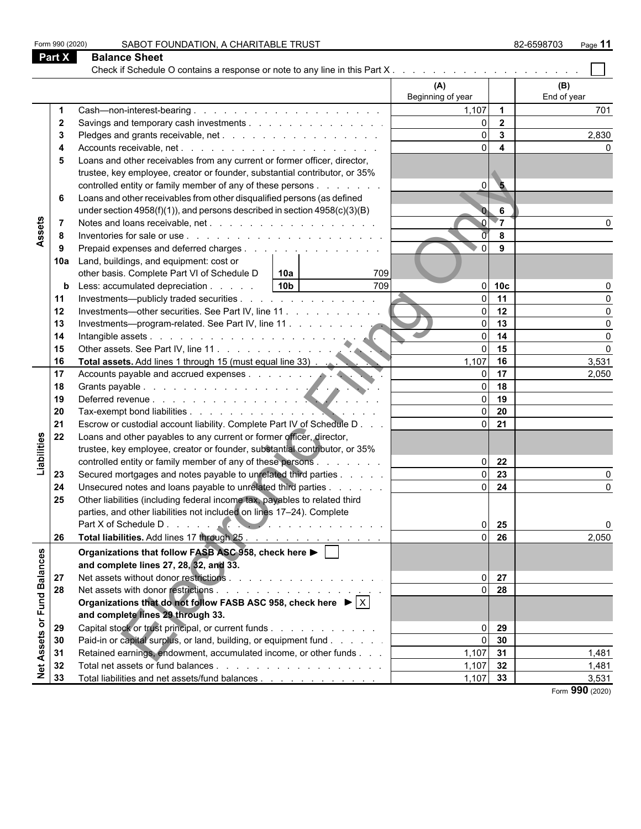| Form 990 (2020)             |                                | SABOT FOUNDATION, A CHARITABLE TRUST                                                             |                      |                         | 82-6598703<br>Page 11 |  |  |  |  |
|-----------------------------|--------------------------------|--------------------------------------------------------------------------------------------------|----------------------|-------------------------|-----------------------|--|--|--|--|
|                             | Part X<br><b>Balance Sheet</b> |                                                                                                  |                      |                         |                       |  |  |  |  |
|                             |                                |                                                                                                  |                      |                         |                       |  |  |  |  |
|                             |                                |                                                                                                  | (A)                  |                         | (B)                   |  |  |  |  |
|                             |                                |                                                                                                  | Beginning of year    |                         | End of year           |  |  |  |  |
|                             |                                |                                                                                                  | 1,107                | $\overline{\mathbf{1}}$ | 701                   |  |  |  |  |
|                             | $\mathbf{2}$                   | Savings and temporary cash investments                                                           | $\Omega$             | $\overline{2}$          |                       |  |  |  |  |
|                             | 3                              |                                                                                                  | $\Omega$             | $\mathbf{3}$            | 2,830                 |  |  |  |  |
|                             |                                |                                                                                                  | $\Omega$             | $\overline{\mathbf{4}}$ |                       |  |  |  |  |
|                             | 5                              | Loans and other receivables from any current or former officer, director,                        |                      |                         |                       |  |  |  |  |
|                             |                                | trustee, key employee, creator or founder, substantial contributor, or 35%                       |                      |                         |                       |  |  |  |  |
|                             |                                | controlled entity or family member of any of these persons                                       | $\Omega$             | $\bullet$               |                       |  |  |  |  |
|                             | 6                              | Loans and other receivables from other disqualified persons (as defined                          |                      |                         |                       |  |  |  |  |
|                             |                                | under section $4958(f)(1)$ , and persons described in section $4958(c)(3)(B)$                    |                      | 6                       |                       |  |  |  |  |
|                             |                                |                                                                                                  |                      | $\blacktriangledown$    |                       |  |  |  |  |
| Assets                      | 8                              |                                                                                                  |                      | 8                       |                       |  |  |  |  |
|                             | 9                              | Prepaid expenses and deferred charges                                                            | $\Omega$             | 9                       |                       |  |  |  |  |
|                             | 10a                            | Land, buildings, and equipment: cost or                                                          |                      |                         |                       |  |  |  |  |
|                             |                                | other basis. Complete Part VI of Schedule D<br> 10a <br>709                                      |                      |                         |                       |  |  |  |  |
|                             | b                              | 709<br>10 <sub>b</sub><br>Less: accumulated depreciation                                         |                      | $0$ 10c                 |                       |  |  |  |  |
|                             | 11                             | Investments—publicly traded securities                                                           | $\Omega$             | 11                      | $\Omega$              |  |  |  |  |
|                             | 12                             | Investments-other securities. See Part IV, line 11                                               | $\Omega$             | 12                      | $\Omega$              |  |  |  |  |
|                             | 13                             | Investments-program-related. See Part IV, line 11                                                | $\Omega$             | 13                      | $\Omega$              |  |  |  |  |
|                             | 14                             |                                                                                                  | $\Omega$             | 14                      | $\Omega$              |  |  |  |  |
|                             | 15                             | Other assets. See Part IV, line 11.<br>Total assets. Add lines 1 through 15 (must equal line 33) | $\Omega$             | 15                      | $\Omega$              |  |  |  |  |
|                             | 16                             |                                                                                                  | 1,107                | 16                      | 3,531                 |  |  |  |  |
|                             | 17                             | Accounts payable and accrued expenses.                                                           | $\Omega$             | 17                      | 2,050                 |  |  |  |  |
|                             | 18                             |                                                                                                  | $\Omega$<br>$\Omega$ | 18                      |                       |  |  |  |  |
|                             | 19                             |                                                                                                  | $\Omega$             | 19                      |                       |  |  |  |  |
|                             | 20                             | Escrow or custodial account liability. Complete Part IV of Schedule D                            | $\overline{0}$       | 20<br>21                |                       |  |  |  |  |
|                             | 21<br>22                       | Loans and other payables to any current or former officer, director,                             |                      |                         |                       |  |  |  |  |
| Liabilities                 |                                | trustee, key employee, creator or founder, substantial contributor, or 35%                       |                      |                         |                       |  |  |  |  |
|                             |                                | controlled entity or family member of any of these persons                                       | $\Omega$             | 22                      |                       |  |  |  |  |
|                             | 23                             | Secured mortgages and notes payable to unrelated third parties                                   | $\Omega$             | 23                      |                       |  |  |  |  |
|                             | 24                             | Unsecured notes and loans payable to unrelated third parties                                     | $\Omega$             | 24                      | $\Omega$              |  |  |  |  |
|                             | 25                             | Other liabilities (including federal income tax, payables to related third                       |                      |                         |                       |  |  |  |  |
|                             |                                | parties, and other liabilities not included on lines 17-24). Complete                            |                      |                         |                       |  |  |  |  |
|                             |                                |                                                                                                  | ΩI                   | 25                      | $\mathbf 0$           |  |  |  |  |
|                             | 26                             | Total liabilities. Add lines 17 through 25                                                       | ΩI                   | 26                      | 2,050                 |  |  |  |  |
|                             |                                | Organizations that follow FASB ASC 958, check here ▶ │ │                                         |                      |                         |                       |  |  |  |  |
|                             |                                | and complete lines 27, 28, 32, and 33.                                                           |                      |                         |                       |  |  |  |  |
| 27                          |                                |                                                                                                  | $\Omega$             | 27                      |                       |  |  |  |  |
| Net Assets or Fund Balances | 28                             |                                                                                                  | ΩI                   | 28                      |                       |  |  |  |  |
|                             |                                | Organizations that do not follow FASB ASC 958, check here $\blacktriangleright$ $ \times $       |                      |                         |                       |  |  |  |  |
|                             |                                | and complete lines 29 through 33.                                                                |                      |                         |                       |  |  |  |  |
|                             | 29                             | Capital stock or trust principal, or current funds                                               | ΩI                   | 29                      |                       |  |  |  |  |
|                             | 30                             | Paid-in or capital surplus, or land, building, or equipment fund                                 | $\Omega$             | 30                      |                       |  |  |  |  |
|                             | 31                             | Retained earnings, endowment, accumulated income, or other funds                                 | $1,107$ 31           |                         | 1,481                 |  |  |  |  |
|                             | 32                             |                                                                                                  | $1,107$ 32           |                         | 1,481                 |  |  |  |  |
|                             | 33                             | Total liabilities and net assets/fund balances                                                   | $1,107$ 33           |                         | 3,531                 |  |  |  |  |
|                             |                                |                                                                                                  |                      |                         | Form 990 (2020)       |  |  |  |  |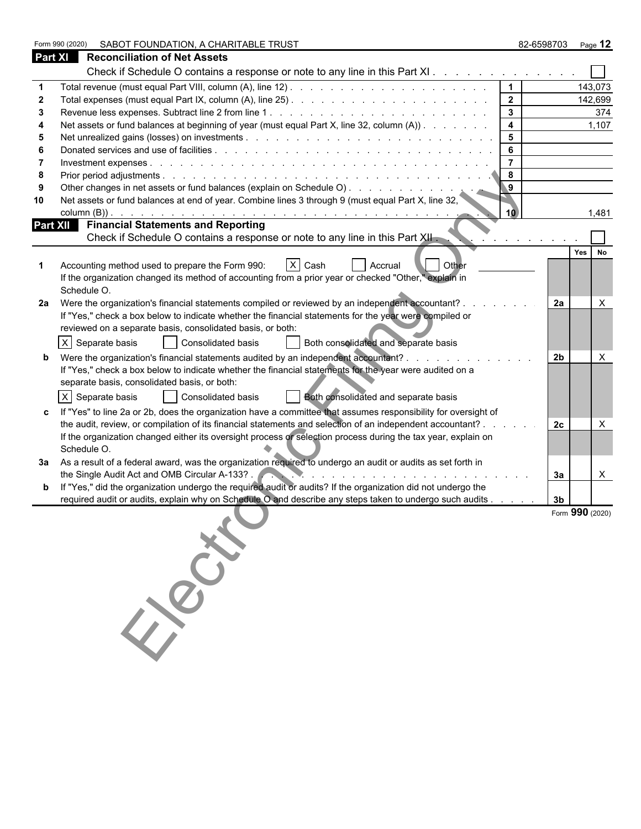|                | SABOT FOUNDATION, A CHARITABLE TRUST<br>Form 990 (2020)                                                                                                                                                                    |                     | 82-6598703 Page 12 |                 |
|----------------|----------------------------------------------------------------------------------------------------------------------------------------------------------------------------------------------------------------------------|---------------------|--------------------|-----------------|
| <b>Part XI</b> | <b>Reconciliation of Net Assets</b>                                                                                                                                                                                        |                     |                    |                 |
|                | Check if Schedule O contains a response or note to any line in this Part XI                                                                                                                                                |                     |                    |                 |
|                |                                                                                                                                                                                                                            | $\mathbf 1$         |                    | 143,073         |
|                |                                                                                                                                                                                                                            | $\overline{2}$      |                    | 142,699         |
| 3              |                                                                                                                                                                                                                            | $\mathbf{3}$        |                    | 374             |
|                | Net assets or fund balances at beginning of year (must equal Part X, line 32, column (A))                                                                                                                                  | $\overline{4}$      |                    | 1,107           |
| -5             |                                                                                                                                                                                                                            | $5\phantom{.0}$     |                    |                 |
|                |                                                                                                                                                                                                                            | 6<br>$\overline{7}$ |                    |                 |
| 8              |                                                                                                                                                                                                                            | 8                   |                    |                 |
|                |                                                                                                                                                                                                                            | $\overline{9}$      |                    |                 |
| 10             | Net assets or fund balances at end of year. Combine lines 3 through 9 (must equal Part X, line 32,                                                                                                                         |                     |                    |                 |
|                |                                                                                                                                                                                                                            | 10                  |                    | 1,481           |
|                | Part XII Financial Statements and Reporting                                                                                                                                                                                |                     |                    |                 |
|                | Check if Schedule O contains a response or note to any line in this Part XII.<br>the contract of the con-                                                                                                                  |                     |                    |                 |
|                |                                                                                                                                                                                                                            |                     |                    | Yes No          |
|                | X Cash<br>Accounting method used to prepare the Form 990:<br><b>Other</b><br>Accrual                                                                                                                                       |                     |                    |                 |
|                | If the organization changed its method of accounting from a prior year or checked "Other," explain in                                                                                                                      |                     |                    |                 |
|                | Schedule O.                                                                                                                                                                                                                |                     |                    |                 |
| 2a             | Were the organization's financial statements compiled or reviewed by an independent accountant?.                                                                                                                           |                     | 2a                 | $\times$        |
|                | If "Yes," check a box below to indicate whether the financial statements for the year were compiled or<br>reviewed on a separate basis, consolidated basis, or both:                                                       |                     |                    |                 |
|                |                                                                                                                                                                                                                            |                     |                    |                 |
|                | X Separate basis<br>Consolidated basis<br>Both consolidated and separate basis                                                                                                                                             |                     |                    |                 |
|                | Were the organization's financial statements audited by an independent accountant?<br>and the company of the company of                                                                                                    |                     | 2b                 | $\times$        |
|                | If "Yes," check a box below to indicate whether the financial statements for the year were audited on a<br>separate basis, consolidated basis, or both:                                                                    |                     |                    |                 |
|                |                                                                                                                                                                                                                            |                     |                    |                 |
|                | X Separate basis<br>Consolidated basis<br>Both consolidated and separate basis                                                                                                                                             |                     |                    |                 |
|                | If "Yes" to line 2a or 2b, does the organization have a committee that assumes responsibility for oversight of                                                                                                             |                     |                    |                 |
|                | the audit, review, or compilation of its financial statements and selection of an independent accountant?<br>If the organization changed either its oversight process or selection process during the tax year, explain on |                     | 2c                 | X               |
|                | Schedule O.                                                                                                                                                                                                                |                     |                    |                 |
|                | 3a  As a result of a federal award, was the organization required to undergo an audit or audits as set forth in                                                                                                            |                     |                    |                 |
|                | the Single Audit Act and OMB Circular A-133?.                                                                                                                                                                              |                     | За                 | X               |
|                | If "Yes," did the organization undergo the required audit or audits? If the organization did not undergo the                                                                                                               |                     |                    |                 |
|                | required audit or audits, explain why on Schedule O and describe any steps taken to undergo such audits                                                                                                                    |                     | 3 <sub>b</sub>     |                 |
|                |                                                                                                                                                                                                                            |                     |                    | Form 990 (2020) |
|                |                                                                                                                                                                                                                            |                     |                    |                 |
|                |                                                                                                                                                                                                                            |                     |                    |                 |
|                |                                                                                                                                                                                                                            |                     |                    |                 |
|                |                                                                                                                                                                                                                            |                     |                    |                 |
|                |                                                                                                                                                                                                                            |                     |                    |                 |
|                | $rac{1}{8}$                                                                                                                                                                                                                |                     |                    |                 |
|                |                                                                                                                                                                                                                            |                     |                    |                 |
|                |                                                                                                                                                                                                                            |                     |                    |                 |
|                |                                                                                                                                                                                                                            |                     |                    |                 |
|                |                                                                                                                                                                                                                            |                     |                    |                 |
|                |                                                                                                                                                                                                                            |                     |                    |                 |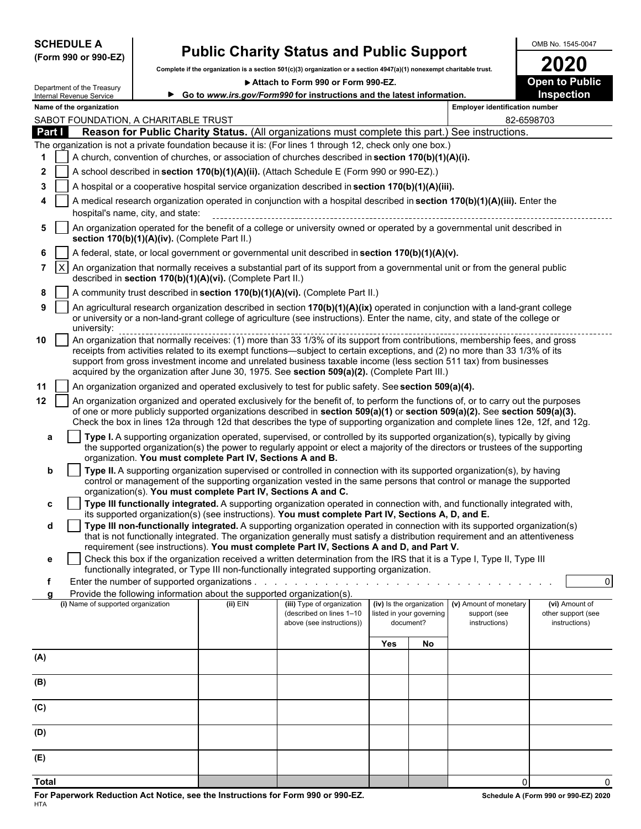| <b>SCHEDULE A</b> |  |
|-------------------|--|
|-------------------|--|

Department of the Treasury

I

### **(Form 990 or 990-EZ)**

# **Public Charity Status and Public Support**<br>te if the organization is a section 501(c)(3) organization or a section 4947(a)(1) nonexempt charitable trust.

Complete if the organization is a section 501(c)(3) organization or a section 4947(a)(1) nonexempt charitable trust.<br> **2020** Attach to Form 990 or Form 990-EZ.

▶ Attach to Form 990 or Form 990-EZ.

|              |                 | Internal Revenue Service                                                                                                                                                                        |                                               |                                                                                      | ► Go to www.irs.gov/Form990 for instructions and the latest information.                                                                                                                                                                                                                                                                                                                                                                                                                        |     |                                                                                                                 |                                       | <b>Inspection</b>                   |  |
|--------------|-----------------|-------------------------------------------------------------------------------------------------------------------------------------------------------------------------------------------------|-----------------------------------------------|--------------------------------------------------------------------------------------|-------------------------------------------------------------------------------------------------------------------------------------------------------------------------------------------------------------------------------------------------------------------------------------------------------------------------------------------------------------------------------------------------------------------------------------------------------------------------------------------------|-----|-----------------------------------------------------------------------------------------------------------------|---------------------------------------|-------------------------------------|--|
|              |                 | Name of the organization                                                                                                                                                                        |                                               |                                                                                      |                                                                                                                                                                                                                                                                                                                                                                                                                                                                                                 |     |                                                                                                                 | <b>Employer identification number</b> |                                     |  |
|              |                 |                                                                                                                                                                                                 | SABOT FOUNDATION, A CHARITABLE TRUST          |                                                                                      |                                                                                                                                                                                                                                                                                                                                                                                                                                                                                                 |     |                                                                                                                 | 82-6598703                            |                                     |  |
| Part I       |                 |                                                                                                                                                                                                 |                                               |                                                                                      | Reason for Public Charity Status. (All organizations must complete this part.) See instructions.                                                                                                                                                                                                                                                                                                                                                                                                |     |                                                                                                                 |                                       |                                     |  |
|              |                 | The organization is not a private foundation because it is: (For lines 1 through 12, check only one box.)                                                                                       |                                               |                                                                                      |                                                                                                                                                                                                                                                                                                                                                                                                                                                                                                 |     |                                                                                                                 |                                       |                                     |  |
| 1            |                 | A church, convention of churches, or association of churches described in section 170(b)(1)(A)(i).<br>A school described in section 170(b)(1)(A)(ii). (Attach Schedule E (Form 990 or 990-EZ).) |                                               |                                                                                      |                                                                                                                                                                                                                                                                                                                                                                                                                                                                                                 |     |                                                                                                                 |                                       |                                     |  |
| $\mathbf{2}$ |                 |                                                                                                                                                                                                 |                                               |                                                                                      |                                                                                                                                                                                                                                                                                                                                                                                                                                                                                                 |     |                                                                                                                 |                                       |                                     |  |
| 3            |                 |                                                                                                                                                                                                 |                                               |                                                                                      | A hospital or a cooperative hospital service organization described in section 170(b)(1)(A)(iii).                                                                                                                                                                                                                                                                                                                                                                                               |     |                                                                                                                 |                                       |                                     |  |
|              |                 |                                                                                                                                                                                                 | hospital's name, city, and state:             |                                                                                      | A medical research organization operated in conjunction with a hospital described in section 170(b)(1)(A)(iii). Enter the                                                                                                                                                                                                                                                                                                                                                                       |     |                                                                                                                 |                                       |                                     |  |
| 5            |                 |                                                                                                                                                                                                 |                                               |                                                                                      | An organization operated for the benefit of a college or university owned or operated by a governmental unit described in                                                                                                                                                                                                                                                                                                                                                                       |     |                                                                                                                 |                                       |                                     |  |
|              |                 |                                                                                                                                                                                                 | section 170(b)(1)(A)(iv). (Complete Part II.) |                                                                                      |                                                                                                                                                                                                                                                                                                                                                                                                                                                                                                 |     |                                                                                                                 |                                       |                                     |  |
| 6            |                 |                                                                                                                                                                                                 |                                               |                                                                                      | A federal, state, or local government or governmental unit described in section 170(b)(1)(A)(v).                                                                                                                                                                                                                                                                                                                                                                                                |     |                                                                                                                 |                                       |                                     |  |
| 7            | $\vert x \vert$ |                                                                                                                                                                                                 |                                               | described in section 170(b)(1)(A)(vi). (Complete Part II.)                           | An organization that normally receives a substantial part of its support from a governmental unit or from the general public                                                                                                                                                                                                                                                                                                                                                                    |     |                                                                                                                 |                                       |                                     |  |
| 8            |                 |                                                                                                                                                                                                 |                                               |                                                                                      | A community trust described in section 170(b)(1)(A)(vi). (Complete Part II.)                                                                                                                                                                                                                                                                                                                                                                                                                    |     |                                                                                                                 |                                       |                                     |  |
| 9            |                 | university:                                                                                                                                                                                     |                                               |                                                                                      | An agricultural research organization described in section 170(b)(1)(A)(ix) operated in conjunction with a land-grant college<br>or university or a non-land-grant college of agriculture (see instructions). Enter the name, city, and state of the college or                                                                                                                                                                                                                                 |     |                                                                                                                 |                                       |                                     |  |
| 10           |                 |                                                                                                                                                                                                 |                                               |                                                                                      | dinversity.<br>An organization that normally receives: (1) more than 33 1/3% of its support from contributions, membership fees, and gross<br>receipts from activities related to its exempt functions—subject to certain exceptions, and (2) no more than 33 1/3% of its<br>support from gross investment income and unrelated business taxable income (less section 511 tax) from businesses<br>acquired by the organization after June 30, 1975. See section 509(a)(2). (Complete Part III.) |     |                                                                                                                 |                                       |                                     |  |
| 11           |                 |                                                                                                                                                                                                 |                                               |                                                                                      | An organization organized and operated exclusively to test for public safety. See section 509(a)(4).                                                                                                                                                                                                                                                                                                                                                                                            |     |                                                                                                                 |                                       |                                     |  |
| 12           |                 |                                                                                                                                                                                                 |                                               |                                                                                      | An organization organized and operated exclusively for the benefit of, to perform the functions of, or to carry out the purposes                                                                                                                                                                                                                                                                                                                                                                |     |                                                                                                                 |                                       |                                     |  |
|              |                 |                                                                                                                                                                                                 |                                               |                                                                                      | of one or more publicly supported organizations described in section 509(a)(1) or section 509(a)(2). See section 509(a)(3).<br>Check the box in lines 12a through 12d that describes the type of supporting organization and complete lines 12e, 12f, and 12g.                                                                                                                                                                                                                                  |     |                                                                                                                 |                                       |                                     |  |
| а            |                 |                                                                                                                                                                                                 |                                               |                                                                                      | Type I. A supporting organization operated, supervised, or controlled by its supported organization(s), typically by giving                                                                                                                                                                                                                                                                                                                                                                     |     |                                                                                                                 |                                       |                                     |  |
|              |                 |                                                                                                                                                                                                 |                                               | organization. You must complete Part IV, Sections A and B.                           | the supported organization(s) the power to regularly appoint or elect a majority of the directors or trustees of the supporting                                                                                                                                                                                                                                                                                                                                                                 |     |                                                                                                                 |                                       |                                     |  |
| b            |                 |                                                                                                                                                                                                 |                                               |                                                                                      | Type II. A supporting organization supervised or controlled in connection with its supported organization(s), by having<br>control or management of the supporting organization vested in the same persons that control or manage the supported                                                                                                                                                                                                                                                 |     |                                                                                                                 |                                       |                                     |  |
|              |                 |                                                                                                                                                                                                 |                                               | organization(s). You must complete Part IV, Sections A and C.                        |                                                                                                                                                                                                                                                                                                                                                                                                                                                                                                 |     |                                                                                                                 |                                       |                                     |  |
| c            |                 |                                                                                                                                                                                                 |                                               |                                                                                      | Type III functionally integrated. A supporting organization operated in connection with, and functionally integrated with,<br>its supported organization(s) (see instructions). You must complete Part IV, Sections A, D, and E.                                                                                                                                                                                                                                                                |     |                                                                                                                 |                                       |                                     |  |
| d            |                 |                                                                                                                                                                                                 |                                               |                                                                                      | Type III non-functionally integrated. A supporting organization operated in connection with its supported organization(s)<br>that is not functionally integrated. The organization generally must satisfy a distribution requirement and an attentiveness                                                                                                                                                                                                                                       |     |                                                                                                                 |                                       |                                     |  |
|              |                 |                                                                                                                                                                                                 |                                               |                                                                                      | requirement (see instructions). You must complete Part IV, Sections A and D, and Part V.<br>Check this box if the organization received a written determination from the IRS that it is a Type I, Type II, Type III                                                                                                                                                                                                                                                                             |     |                                                                                                                 |                                       |                                     |  |
|              |                 |                                                                                                                                                                                                 |                                               |                                                                                      | functionally integrated, or Type III non-functionally integrated supporting organization.                                                                                                                                                                                                                                                                                                                                                                                                       |     |                                                                                                                 |                                       |                                     |  |
|              |                 |                                                                                                                                                                                                 |                                               | Enter the number of supported organizations                                          |                                                                                                                                                                                                                                                                                                                                                                                                                                                                                                 |     | the contract of the contract of the contract of the contract of the contract of the contract of the contract of |                                       | $\mathbf 0$                         |  |
| a            |                 | (i) Name of supported organization                                                                                                                                                              |                                               | Provide the following information about the supported organization(s).<br>$(ii)$ EIN | (iii) Type of organization                                                                                                                                                                                                                                                                                                                                                                                                                                                                      |     | (iv) Is the organization                                                                                        | (v) Amount of monetary                | (vi) Amount of                      |  |
|              |                 |                                                                                                                                                                                                 |                                               |                                                                                      | (described on lines 1-10<br>above (see instructions))                                                                                                                                                                                                                                                                                                                                                                                                                                           |     | listed in your governing<br>document?                                                                           | support (see<br>instructions)         | other support (see<br>instructions) |  |
|              |                 |                                                                                                                                                                                                 |                                               |                                                                                      |                                                                                                                                                                                                                                                                                                                                                                                                                                                                                                 | Yes | No                                                                                                              |                                       |                                     |  |
| (A)          |                 |                                                                                                                                                                                                 |                                               |                                                                                      |                                                                                                                                                                                                                                                                                                                                                                                                                                                                                                 |     |                                                                                                                 |                                       |                                     |  |
| (B)          |                 |                                                                                                                                                                                                 |                                               |                                                                                      |                                                                                                                                                                                                                                                                                                                                                                                                                                                                                                 |     |                                                                                                                 |                                       |                                     |  |
|              |                 |                                                                                                                                                                                                 |                                               |                                                                                      |                                                                                                                                                                                                                                                                                                                                                                                                                                                                                                 |     |                                                                                                                 |                                       |                                     |  |
| (C)          |                 |                                                                                                                                                                                                 |                                               |                                                                                      |                                                                                                                                                                                                                                                                                                                                                                                                                                                                                                 |     |                                                                                                                 |                                       |                                     |  |
| (D)          |                 |                                                                                                                                                                                                 |                                               |                                                                                      |                                                                                                                                                                                                                                                                                                                                                                                                                                                                                                 |     |                                                                                                                 |                                       |                                     |  |
| (E)          |                 |                                                                                                                                                                                                 |                                               |                                                                                      |                                                                                                                                                                                                                                                                                                                                                                                                                                                                                                 |     |                                                                                                                 |                                       |                                     |  |
|              |                 |                                                                                                                                                                                                 |                                               |                                                                                      |                                                                                                                                                                                                                                                                                                                                                                                                                                                                                                 |     |                                                                                                                 |                                       |                                     |  |

**Total** 0 0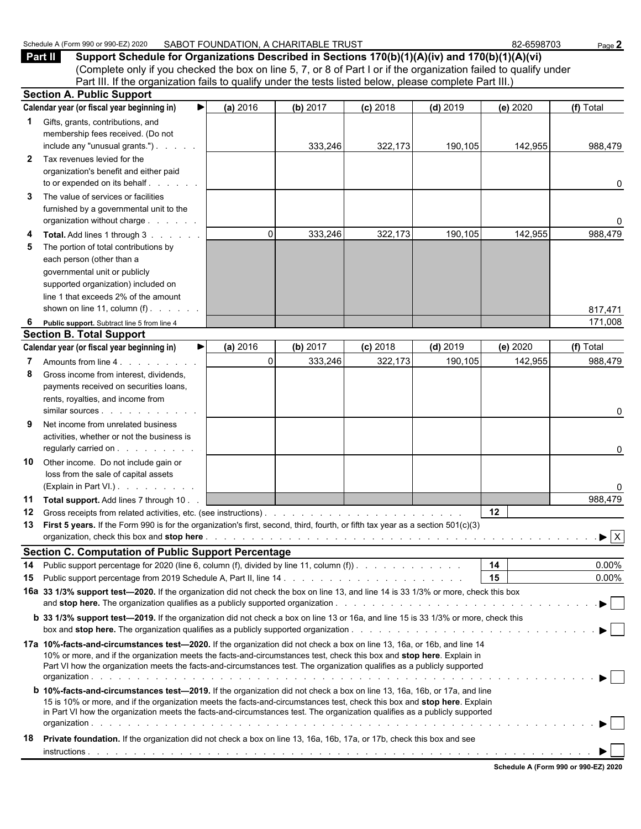| (Complete only if you checked the box on line 5, 7, or 8 of Part I or if the organization failed to qualify under<br>Part III. If the organization fails to qualify under the tests listed below, please complete Part III.)                                                                                                                                                |          |          |            |            |          |              |
|-----------------------------------------------------------------------------------------------------------------------------------------------------------------------------------------------------------------------------------------------------------------------------------------------------------------------------------------------------------------------------|----------|----------|------------|------------|----------|--------------|
| <b>Section A. Public Support</b>                                                                                                                                                                                                                                                                                                                                            |          |          |            |            |          |              |
| Calendar year (or fiscal year beginning in)<br>▶                                                                                                                                                                                                                                                                                                                            | (a) 2016 | (b) 2017 | $(c)$ 2018 | $(d)$ 2019 | (e) 2020 | (f) Total    |
| Gifts, grants, contributions, and<br>1                                                                                                                                                                                                                                                                                                                                      |          |          |            |            |          |              |
| membership fees received. (Do not<br>include any "unusual grants.")                                                                                                                                                                                                                                                                                                         |          |          |            |            |          |              |
| Tax revenues levied for the<br>$\mathbf{2}$                                                                                                                                                                                                                                                                                                                                 |          | 333,246  | 322,173    | 190,105    | 142,955  | 988,479      |
| organization's benefit and either paid                                                                                                                                                                                                                                                                                                                                      |          |          |            |            |          |              |
| to or expended on its behalf                                                                                                                                                                                                                                                                                                                                                |          |          |            |            |          | 0            |
| The value of services or facilities<br>3                                                                                                                                                                                                                                                                                                                                    |          |          |            |            |          |              |
| furnished by a governmental unit to the                                                                                                                                                                                                                                                                                                                                     |          |          |            |            |          |              |
| organization without charge                                                                                                                                                                                                                                                                                                                                                 |          |          |            |            |          | 0            |
| <b>Total.</b> Add lines 1 through 3                                                                                                                                                                                                                                                                                                                                         | $\Omega$ | 333,246  | 322,173    | 190,105    | 142,955  | 988,479      |
| The portion of total contributions by<br>5                                                                                                                                                                                                                                                                                                                                  |          |          |            |            |          |              |
| each person (other than a                                                                                                                                                                                                                                                                                                                                                   |          |          |            |            |          |              |
| governmental unit or publicly                                                                                                                                                                                                                                                                                                                                               |          |          |            |            |          |              |
| supported organization) included on                                                                                                                                                                                                                                                                                                                                         |          |          |            |            |          |              |
| line 1 that exceeds 2% of the amount                                                                                                                                                                                                                                                                                                                                        |          |          |            |            |          |              |
| shown on line 11, column $(f)$ .                                                                                                                                                                                                                                                                                                                                            |          |          |            |            |          | 817,471      |
| Public support. Subtract line 5 from line 4<br>6<br><b>Section B. Total Support</b>                                                                                                                                                                                                                                                                                         |          |          |            |            |          | 171,008      |
| Calendar year (or fiscal year beginning in)<br>▶                                                                                                                                                                                                                                                                                                                            | (a) 2016 | (b) 2017 | $(c)$ 2018 | $(d)$ 2019 | (e) 2020 | (f) Total    |
| Amounts from line 4.                                                                                                                                                                                                                                                                                                                                                        | $\Omega$ | 333,246  | 322,173    | 190,105    | 142,955  | 988,479      |
| 8<br>Gross income from interest, dividends,                                                                                                                                                                                                                                                                                                                                 |          |          |            |            |          |              |
| payments received on securities loans,                                                                                                                                                                                                                                                                                                                                      |          |          |            |            |          |              |
| rents, royalties, and income from                                                                                                                                                                                                                                                                                                                                           |          |          |            |            |          |              |
|                                                                                                                                                                                                                                                                                                                                                                             |          |          |            |            |          | 0            |
| 9<br>Net income from unrelated business                                                                                                                                                                                                                                                                                                                                     |          |          |            |            |          |              |
| activities, whether or not the business is                                                                                                                                                                                                                                                                                                                                  |          |          |            |            |          |              |
| regularly carried on                                                                                                                                                                                                                                                                                                                                                        |          |          |            |            |          | 0            |
| Other income. Do not include gain or<br>10                                                                                                                                                                                                                                                                                                                                  |          |          |            |            |          |              |
| loss from the sale of capital assets<br>(Explain in Part VI.)                                                                                                                                                                                                                                                                                                               |          |          |            |            |          |              |
| 11<br>Total support. Add lines 7 through 10.                                                                                                                                                                                                                                                                                                                                |          |          |            |            |          | 0<br>988,479 |
| 12                                                                                                                                                                                                                                                                                                                                                                          |          |          |            |            | 12       |              |
| First 5 years. If the Form 990 is for the organization's first, second, third, fourth, or fifth tax year as a section 501(c)(3)<br>13                                                                                                                                                                                                                                       |          |          |            |            |          |              |
|                                                                                                                                                                                                                                                                                                                                                                             |          |          |            |            |          |              |
| <b>Section C. Computation of Public Support Percentage</b>                                                                                                                                                                                                                                                                                                                  |          |          |            |            |          |              |
| Public support percentage for 2020 (line 6, column (f), divided by line 11, column (f)).<br>14                                                                                                                                                                                                                                                                              |          |          |            |            | 14       | 0.00%        |
| 15                                                                                                                                                                                                                                                                                                                                                                          |          |          |            |            | 15       | 0.00%        |
| 16a 33 1/3% support test-2020. If the organization did not check the box on line 13, and line 14 is 33 1/3% or more, check this box                                                                                                                                                                                                                                         |          |          |            |            |          |              |
|                                                                                                                                                                                                                                                                                                                                                                             |          |          |            |            |          |              |
| <b>b</b> 33 1/3% support test-2019. If the organization did not check a box on line 13 or 16a, and line 15 is 33 1/3% or more, check this                                                                                                                                                                                                                                   |          |          |            |            |          |              |
| 17a 10%-facts-and-circumstances test-2020. If the organization did not check a box on line 13, 16a, or 16b, and line 14<br>10% or more, and if the organization meets the facts-and-circumstances test, check this box and stop here. Explain in<br>Part VI how the organization meets the facts-and-circumstances test. The organization qualifies as a publicly supported |          |          |            |            |          |              |
| <b>b 10%-facts-and-circumstances test-2019.</b> If the organization did not check a box on line 13, 16a, 16b, or 17a, and line                                                                                                                                                                                                                                              |          |          |            |            |          |              |
| 15 is 10% or more, and if the organization meets the facts-and-circumstances test, check this box and stop here. Explain<br>in Part VI how the organization meets the facts-and-circumstances test. The organization qualifies as a publicly supported                                                                                                                      |          |          |            |            |          |              |
| Private foundation. If the organization did not check a box on line 13, 16a, 16b, 17a, or 17b, check this box and see<br>18                                                                                                                                                                                                                                                 |          |          |            |            |          |              |
|                                                                                                                                                                                                                                                                                                                                                                             |          |          |            |            |          |              |

Schedule A (Form 990 or 990-EZ) 2020 SABOT FOUNDATION, A CHARITABLE TRUST 82-6598703 B2-6598703 Page 2<br>**Part II** Support Schedule for Organizations Described in Sections 170(b)(1)(A)(iv) and 170(b)(1)(A)(vi) **Part II Support Schedule for Organizations Described in Sections 170(b)(1)(A)(iv) and 170(b)(1)(A)(vi)**

|  |  | Schedule A (Form 990 or 990-EZ) 2020 |  |
|--|--|--------------------------------------|--|
|  |  |                                      |  |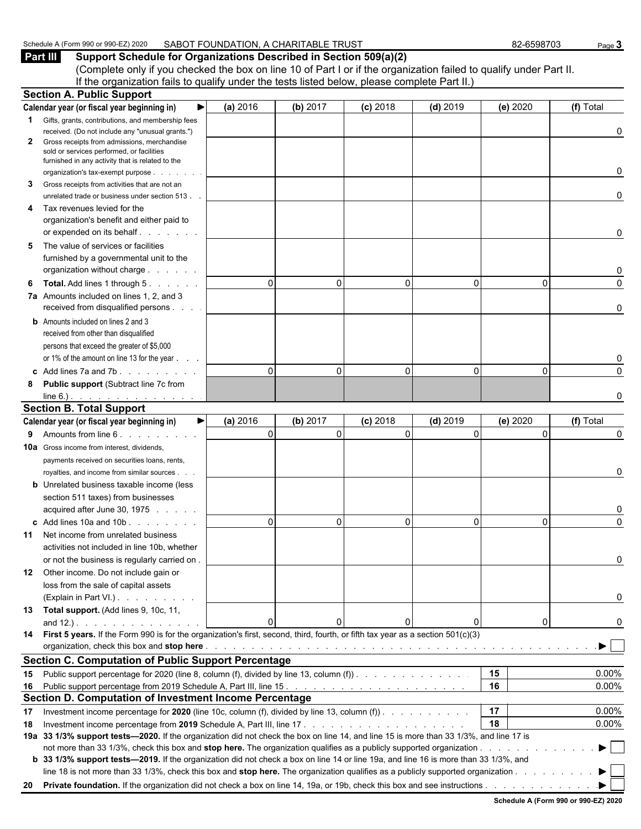## Schedule A (Form 990 or 990-EZ) 2020 SABOT FOUNDATION, A CHARITABLE TRUST 82-6598703 Page 3<br>**Part III** Support Schedule for Organizations Described in Section 509(a)(2)

**Support Schedule for Organizations Described in Section 509(a)(2)** (Complete only if you checked the box on line 10 of Part I or if the organization failed to qualify under Part II. If the organization fails to qualify under the tests listed below, please complete Part II.)

|             | <b>Section A. Public Support</b>                                                                                                       |                      |                      |                        |                        |                      |                         |
|-------------|----------------------------------------------------------------------------------------------------------------------------------------|----------------------|----------------------|------------------------|------------------------|----------------------|-------------------------|
|             | Calendar year (or fiscal year beginning in)<br>▶                                                                                       | (a) 2016             | (b) 2017             | $(c)$ 2018             | $(d)$ 2019             | (e) 2020             | (f) Total               |
| $\mathbf 1$ | Gifts, grants, contributions, and membership fees                                                                                      |                      |                      |                        |                        |                      |                         |
|             | received. (Do not include any "unusual grants.")                                                                                       |                      |                      |                        |                        |                      | 0                       |
| 2           | Gross receipts from admissions, merchandise<br>sold or services performed, or facilities                                               |                      |                      |                        |                        |                      |                         |
|             | furnished in any activity that is related to the<br>organization's tax-exempt purpose<br>and a state                                   |                      |                      |                        |                        |                      | 0                       |
| 3           | Gross receipts from activities that are not an<br>unrelated trade or business under section 513.                                       |                      |                      |                        |                        |                      | 0                       |
| 4           | Tax revenues levied for the                                                                                                            |                      |                      |                        |                        |                      |                         |
|             | organization's benefit and either paid to                                                                                              |                      |                      |                        |                        |                      |                         |
|             | or expended on its behalf                                                                                                              |                      |                      |                        |                        |                      | 0                       |
| 5           | The value of services or facilities                                                                                                    |                      |                      |                        |                        |                      |                         |
|             | furnished by a governmental unit to the                                                                                                |                      |                      |                        |                        |                      |                         |
|             | organization without charge                                                                                                            |                      |                      |                        |                        |                      | 0                       |
| 6           | <b>Total.</b> Add lines 1 through 5.                                                                                                   | $\Omega$             | 0                    | $\Omega$               | $\Omega$               | 0                    | 0                       |
|             | 7a Amounts included on lines 1, 2, and 3                                                                                               |                      |                      |                        |                        |                      |                         |
|             | received from disqualified persons                                                                                                     |                      |                      |                        |                        |                      | 0                       |
|             | <b>b</b> Amounts included on lines 2 and 3                                                                                             |                      |                      |                        |                        |                      |                         |
|             | received from other than disqualified                                                                                                  |                      |                      |                        |                        |                      |                         |
|             | persons that exceed the greater of \$5,000                                                                                             |                      |                      |                        |                        |                      |                         |
|             | or 1% of the amount on line 13 for the year                                                                                            |                      |                      |                        |                        |                      | 0                       |
|             | c Add lines 7a and 7b.                                                                                                                 | $\Omega$             | 0                    | $\Omega$               | $\Omega$               | $\Omega$             | 0                       |
| 8           | <b>Public support (Subtract line 7c from</b>                                                                                           |                      |                      |                        |                        |                      |                         |
|             | line 6.) $\cdots$ $\cdots$ $\cdots$                                                                                                    |                      |                      |                        |                        |                      | 0                       |
|             | <b>Section B. Total Support</b>                                                                                                        |                      |                      |                        |                        |                      |                         |
|             | Calendar year (or fiscal year beginning in)<br>▶∣<br>Amounts from line 6.                                                              | (a) 2016<br>$\Omega$ | (b) 2017<br>$\Omega$ | $(c)$ 2018<br>$\Omega$ | $(d)$ 2019<br>$\Omega$ | (e) 2020<br>$\Omega$ | (f) Total<br>0          |
| 9           |                                                                                                                                        |                      |                      |                        |                        |                      |                         |
|             | <b>10a</b> Gross income from interest, dividends,                                                                                      |                      |                      |                        |                        |                      |                         |
|             | payments received on securities loans, rents,<br>royalties, and income from similar sources                                            |                      |                      |                        |                        |                      | 0                       |
|             | <b>b</b> Unrelated business taxable income (less                                                                                       |                      |                      |                        |                        |                      |                         |
|             | section 511 taxes) from businesses                                                                                                     |                      |                      |                        |                        |                      |                         |
|             | acquired after June 30, 1975                                                                                                           |                      |                      |                        |                        |                      | 0                       |
|             | c Add lines 10a and 10b                                                                                                                | $\Omega$             | 0                    | $\Omega$               | $\mathbf{0}$           | 0                    | $\Omega$                |
| 11          | Net income from unrelated business                                                                                                     |                      |                      |                        |                        |                      |                         |
|             | activities not included in line 10b, whether                                                                                           |                      |                      |                        |                        |                      |                         |
|             | or not the business is regularly carried on                                                                                            |                      |                      |                        |                        |                      | 0                       |
| 12          | Other income. Do not include gain or                                                                                                   |                      |                      |                        |                        |                      |                         |
|             | loss from the sale of capital assets                                                                                                   |                      |                      |                        |                        |                      |                         |
|             | (Explain in Part VI.)                                                                                                                  |                      |                      |                        |                        |                      | 0                       |
|             | 13 Total support. (Add lines 9, 10c, 11,                                                                                               |                      |                      |                        |                        |                      |                         |
|             |                                                                                                                                        | $\mathbf{0}$         | 0                    |                        | 0                      | 0                    | 0                       |
|             | 14 First 5 years. If the Form 990 is for the organization's first, second, third, fourth, or fifth tax year as a section 501(c)(3)     |                      |                      |                        |                        |                      |                         |
|             |                                                                                                                                        |                      |                      |                        |                        |                      | $\blacktriangleright$ 1 |
|             | <b>Section C. Computation of Public Support Percentage</b>                                                                             |                      |                      |                        |                        |                      |                         |
| 15          | Public support percentage for 2020 (line 8, column (f), divided by line 13, column (f)).                                               |                      |                      |                        |                        | 15                   | $0.00\%$                |
| 16          |                                                                                                                                        |                      |                      |                        |                        | 16                   | $0.00\%$                |
|             | Section D. Computation of Investment Income Percentage                                                                                 |                      |                      |                        |                        |                      |                         |
| 17          | Investment income percentage for 2020 (line 10c, column (f), divided by line 13, column (f)). $\ldots$                                 |                      |                      |                        |                        | 17                   | $0.00\%$                |
| 18          |                                                                                                                                        |                      |                      |                        |                        | 18                   | 0.00%                   |
|             | 19a 33 1/3% support tests-2020. If the organization did not check the box on line 14, and line 15 is more than 33 1/3%, and line 17 is |                      |                      |                        |                        |                      |                         |
|             | b 33 1/3% support tests—2019. If the organization did not check a box on line 14 or line 19a, and line 16 is more than 33 1/3%, and    |                      |                      |                        |                        |                      |                         |
|             | line 18 is not more than 33 1/3%, check this box and stop here. The organization qualifies as a publicly supported organization        |                      |                      |                        |                        |                      | ▶                       |
| 20          |                                                                                                                                        |                      |                      |                        |                        |                      |                         |
|             |                                                                                                                                        |                      |                      |                        |                        |                      |                         |

**Schedule A (Form 990 or 990-EZ) 2020**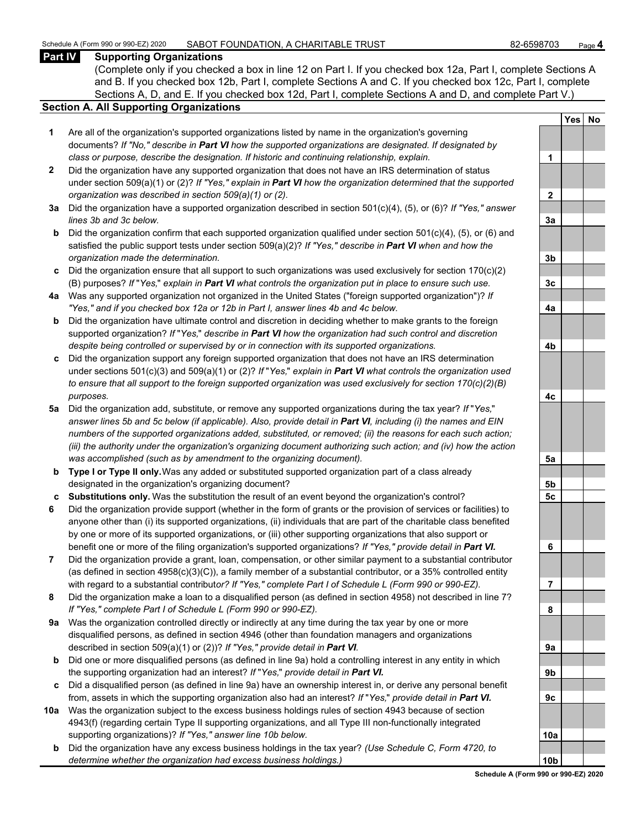## Schedule A (Form 990 or 990-EZ) 2020 SABOT FOUNDATION, A CHARITABLE TRUST **82-6598703** Page 4<br>Part IV Supporting Organizations

#### **Supporting Organizations**

(Complete only if you checked a box in line 12 on Part I. If you checked box 12a, Part I, complete Sections A and B. If you checked box 12b, Part I, complete Sections A and C. If you checked box 12c, Part I, complete Sections A, D, and E. If you checked box 12d, Part I, complete Sections A and D, and complete Part V.)

#### **Section A. All Supporting Organizations**

- **1** Are all of the organization's supported organizations listed by name in the organization's governing documents? *If "No," describe in Part VI how the supported organizations are designated. If designated by class or purpose, describe the designation. If historic and continuing relationship, explain.* **1**
- **2** Did the organization have any supported organization that does not have an IRS determination of status under section 509(a)(1) or (2)? *If "Yes," explain in Part VI how the organization determined that the supported organization was described in section 509(a)(1) or (2).*
- **3a** Did the organization have a supported organization described in section 501(c)(4), (5), or (6)? *If "Yes," answer lines 3b and 3c below.*
- **b** Did the organization confirm that each supported organization qualified under section 501(c)(4), (5), or (6) and satisfied the public support tests under section 509(a)(2)? *If "Yes," describe in Part VI when and how the organization made the determination.* **3b**
- **c** Did the organization ensure that all support to such organizations was used exclusively for section 170(c)(2) (B) purposes? *If* "*Yes,*" *explain in Part VI what controls the organization put in place to ensure such use.* **3c**
- **4a** Was any supported organization not organized in the United States ("foreign supported organization")? *If "Yes," and if you checked box 12a or 12b in Part I, answer lines 4b and 4c below.* **4a**
- **b** Did the organization have ultimate control and discretion in deciding whether to make grants to the foreign supported organization? *If* "*Yes,*" *describe in Part VI how the organization had such control and discretion despite being controlled or supervised by or in connection with its supported organizations.* **4b**
- **c** Did the organization support any foreign supported organization that does not have an IRS determination under sections 501(c)(3) and 509(a)(1) or (2)? *If* "*Yes,*" *explain in Part VI what controls the organization used to ensure that all support to the foreign supported organization was used exclusively for section 170(c)(2)(B) purposes.* **4c**
- **5a** Did the organization add, substitute, or remove any supported organizations during the tax year? *If* "*Yes,*" *answer lines 5b and 5c below (if applicable). Also, provide detail in Part VI, including (i) the names and EIN numbers of the supported organizations added, substituted, or removed; (ii) the reasons for each such action; (iii) the authority under the organization's organizing document authorizing such action; and (iv) how the action was accomplished (such as by amendment to the organizing document).* **5a**
- **b Type I or Type II only.** Was any added or substituted supported organization part of a class already designated in the organization's organizing document? **5b**
- **c Substitutions only.** Was the substitution the result of an event beyond the organization's control? **5c**
- **6** Did the organization provide support (whether in the form of grants or the provision of services or facilities) to anyone other than (i) its supported organizations, (ii) individuals that are part of the charitable class benefited by one or more of its supported organizations, or (iii) other supporting organizations that also support or benefit one or more of the filing organization's supported organizations? *If "Yes," provide detail in Part VI.* **6**
- **7** Did the organization provide a grant, loan, compensation, or other similar payment to a substantial contributor (as defined in section 4958(c)(3)(C)), a family member of a substantial contributor, or a 35% controlled entity with regard to a substantial contribut*or? If "Yes," complete Part I of Schedule L (Form 990 or 990-EZ).* **7**
- **8** Did the organization make a loan to a disqualified person (as defined in section 4958) not described in line 7? *If "Yes," complete Part I of Schedule L (Form 990 or 990-EZ).* **8**
- **9a** Was the organization controlled directly or indirectly at any time during the tax year by one or more disqualified persons, as defined in section 4946 (other than foundation managers and organizations described in section 509(a)(1) or (2))? If "Yes," provide detail in Part VI.
- **b** Did one or more disqualified persons (as defined in line 9a) hold a controlling interest in any entity in which the supporting organization had an interest? *If* "*Yes,*" *provide detail in Part VI.* **9b**
- **c** Did a disqualified person (as defined in line 9a) have an ownership interest in, or derive any personal benefit from, assets in which the supporting organization also had an interest? *If* "Yes," *provide detail in Part VI.*
- **10a** Was the organization subject to the excess business holdings rules of section 4943 because of section 4943(f) (regarding certain Type II supporting organizations, and all Type III non-functionally integrated supporting organizations)? If "Yes," answer line 10b below.
	- **b** Did the organization have any excess business holdings in the tax year? *(Use Schedule C, Form 4720, to determine whether the organization had excess business holdings.)*

|                | <u>Yes</u> | <u>No</u> |
|----------------|------------|-----------|
|                |            |           |
| 1              |            |           |
|                |            |           |
| $\overline{2}$ |            |           |
|                |            |           |
| <u>3a</u>      |            |           |
|                |            |           |
| <u>3b</u>      |            |           |
| <u>3c</u>      |            |           |
|                |            |           |
| 4a             |            |           |
| <u>4b</u>      |            |           |
|                |            |           |
|                |            |           |
| 4c             |            |           |
|                |            |           |
| <u>5a</u>      |            |           |
| <u>5b</u>      |            |           |
| 5c             |            |           |
|                |            |           |
| 6              |            |           |
|                |            |           |
| 7              |            |           |
| 8              |            |           |
|                |            |           |
| 9а             |            |           |
| ו              |            |           |
|                |            |           |
| k              |            |           |
|                |            |           |
| O.<br>ì        |            |           |
|                |            |           |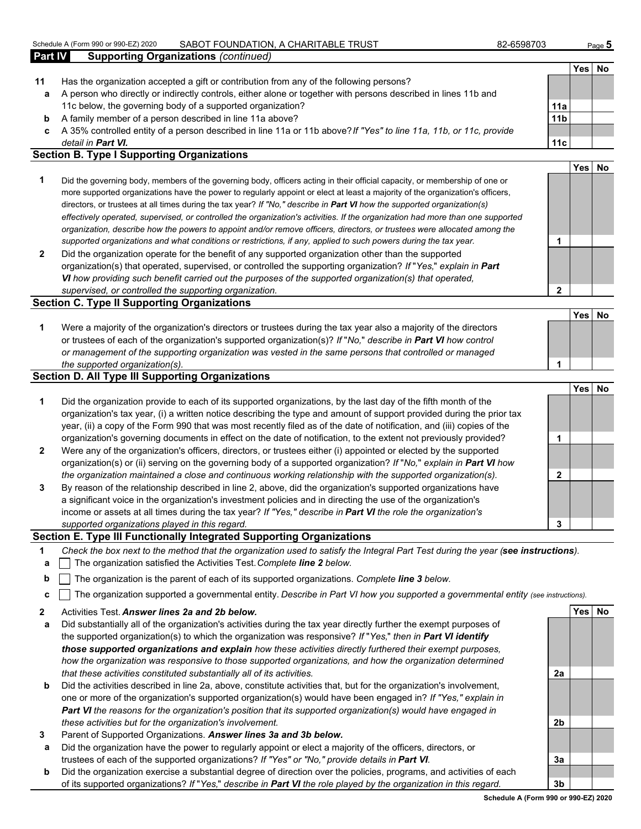#### Schedule A (Form 990 or 990-EZ) 2020 SABOT FOUNDATION, A CHARITABLE TRUST **82-6598703** Page 5

| Part IV | <b>Supporting Organizations (continued)</b>                                                                                                                                                                                                                 |                 |                  |    |
|---------|-------------------------------------------------------------------------------------------------------------------------------------------------------------------------------------------------------------------------------------------------------------|-----------------|------------------|----|
|         |                                                                                                                                                                                                                                                             |                 | Yes l            | No |
| 11      | Has the organization accepted a gift or contribution from any of the following persons?                                                                                                                                                                     |                 |                  |    |
| a       | A person who directly or indirectly controls, either alone or together with persons described in lines 11b and                                                                                                                                              |                 |                  |    |
|         | 11c below, the governing body of a supported organization?                                                                                                                                                                                                  | 11a             |                  |    |
| b       | A family member of a person described in line 11a above?                                                                                                                                                                                                    | 11 <sub>b</sub> |                  |    |
| c       | A 35% controlled entity of a person described in line 11a or 11b above? If "Yes" to line 11a, 11b, or 11c, provide                                                                                                                                          |                 |                  |    |
|         | detail in <b>Part VI.</b>                                                                                                                                                                                                                                   | 11c             |                  |    |
|         | <b>Section B. Type I Supporting Organizations</b>                                                                                                                                                                                                           |                 |                  |    |
|         |                                                                                                                                                                                                                                                             |                 | Yes <sup>l</sup> | No |
|         | Did the governing body, members of the governing body, officers acting in their official capacity, or membership of one or<br>more supported organizations have the power to regularly appoint or elect at least a majority of the organization's officers, |                 |                  |    |

- more supported organizations have the power to regularly appoint or elect at least a majority of the organization's officers, directors, or trustees at all times during the tax year? *If "No," describe in Part VI how the supported organization(s) effectively operated, supervised, or controlled the organization's activities. If the organization had more than one supported organization, describe how the powers to appoint and/or remove officers, directors, or trustees were allocated among the supported organizations and what conditions or restrictions, if any, applied to such powers during the tax year.* **1**
- **2** Did the organization operate for the benefit of any supported organization other than the supported organization(s) that operated, supervised, or controlled the supporting organization? *If* "*Yes,*" *explain in Part VI how providing such benefit carried out the purposes of the supported organization(s) that operated, supervised, or controlled the supporting organization.* **2**

#### **Section C. Type II Supporting Organizations**

| Were a majority of the organization's directors or trustees during the tax year also a majority of the directors     |  |
|----------------------------------------------------------------------------------------------------------------------|--|
| or trustees of each of the organization's supported organization(s)? If "No," describe in <b>Part VI</b> how control |  |
| or management of the supporting organization was vested in the same persons that controlled or managed               |  |
| the supported organization(s).                                                                                       |  |

#### **Section D. All Type III Supporting Organizations**

|                |                                                                                                                                                                                                                                                                                                                                                                   |   | Yesl |  |
|----------------|-------------------------------------------------------------------------------------------------------------------------------------------------------------------------------------------------------------------------------------------------------------------------------------------------------------------------------------------------------------------|---|------|--|
| 1              | Did the organization provide to each of its supported organizations, by the last day of the fifth month of the<br>organization's tax year, (i) a written notice describing the type and amount of support provided during the prior tax<br>year, (ii) a copy of the Form 990 that was most recently filed as of the date of notification, and (iii) copies of the |   |      |  |
|                | organization's governing documents in effect on the date of notification, to the extent not previously provided?                                                                                                                                                                                                                                                  |   |      |  |
| $\overline{2}$ | Were any of the organization's officers, directors, or trustees either (i) appointed or elected by the supported<br>organization(s) or (ii) serving on the governing body of a supported organization? If "No," explain in Part VI how                                                                                                                            |   |      |  |
|                | the organization maintained a close and continuous working relationship with the supported organization(s).                                                                                                                                                                                                                                                       | ົ |      |  |
| $\mathbf{3}$   | By reason of the relationship described in line 2, above, did the organization's supported organizations have<br>a significant voice in the organization's investment policies and in directing the use of the organization's<br>income or assets at all times during the tax year? If "Yes," describe in Part VI the role the organization's                     |   |      |  |
|                | supported organizations played in this regard.                                                                                                                                                                                                                                                                                                                    | 3 |      |  |

#### **Section E. Type III Functionally Integrated Supporting Organizations**

- **1** *Check the box next to the method that the organization used to satisfy the Integral Part Test during the year (see instructions).*
- **a** The organization satisfied the Activities Test. *Complete line 2 below.*
- **b** The organization is the parent of each of its supported organizations. *Complete line 3 below.*
- **c** The organization supported a governmental entity. *Describe in Part VI how you supported a governmental entity (see instructions).*
- **2** Activities Test. *Answer lines 2a and 2b below.* **Yes No**
- **a** Did substantially all of the organization's activities during the tax year directly further the exempt purposes of the supported organization(s) to which the organization was responsive? *If* "*Yes,*" *then in Part VI identify those supported organizations and explain how these activities directly furthered their exempt purposes, how the organization was responsive to those supported organizations, and how the organization determined that these activities constituted substantially all of its activities.* **2a**
- **b** Did the activities described in line 2a, above, constitute activities that, but for the organization's involvement, one or more of the organization's supported organization(s) would have been engaged in? *If "Yes," explain in Part VI the reasons for the organization's position that its supported organization(s) would have engaged in these activities but for the organization's involvement.* **2b**
- **3** Parent of Supported Organizations. *Answer lines 3a and 3b below.*
- **a** Did the organization have the power to regularly appoint or elect a majority of the officers, directors, or trustees of each of the supported organizations? *If "Yes" or "No," provide details in Part VI.* **3a**
- **b** Did the organization exercise a substantial degree of direction over the policies, programs, and activities of each of its supported organizations? *If* "*Yes,*" *describe in Part VI the role played by the organization in this regard.* **3b**

**Yes No**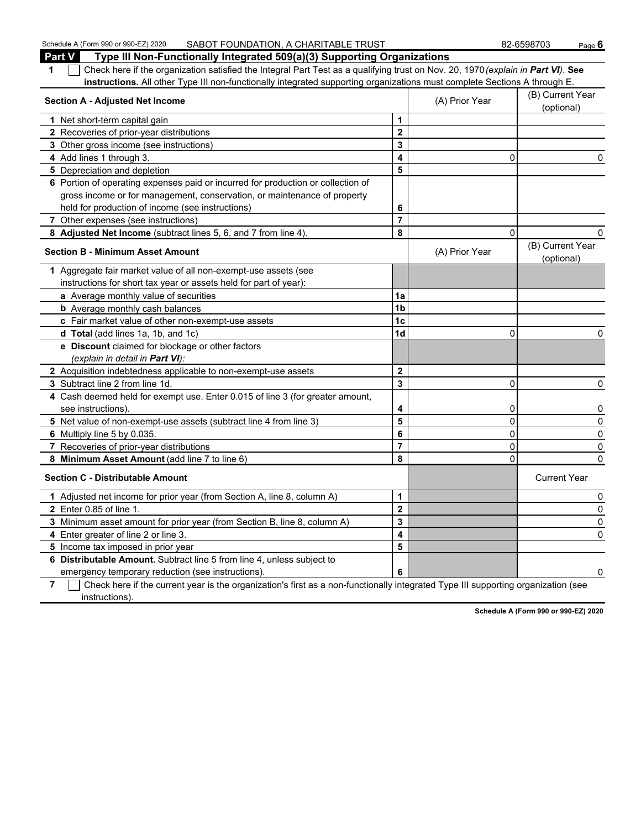| Schedule A (Form 990 or 990-EZ) 2020<br>SABOT FOUNDATION, A CHARITABLE TRUST                                                                        |                         |                | 82-6598703<br>Page $6$         |  |
|-----------------------------------------------------------------------------------------------------------------------------------------------------|-------------------------|----------------|--------------------------------|--|
| Part V<br>Type III Non-Functionally Integrated 509(a)(3) Supporting Organizations                                                                   |                         |                |                                |  |
| Check here if the organization satisfied the Integral Part Test as a qualifying trust on Nov. 20, 1970 (explain in Part VI). See<br>1               |                         |                |                                |  |
| instructions. All other Type III non-functionally integrated supporting organizations must complete Sections A through E.                           |                         |                |                                |  |
| <b>Section A - Adjusted Net Income</b>                                                                                                              |                         | (A) Prior Year | (B) Current Year<br>(optional) |  |
| 1 Net short-term capital gain                                                                                                                       | 1                       |                |                                |  |
| 2 Recoveries of prior-year distributions                                                                                                            | 2                       |                |                                |  |
| 3 Other gross income (see instructions)                                                                                                             | 3                       |                |                                |  |
| 4 Add lines 1 through 3.                                                                                                                            | 4                       | 0              | 0                              |  |
| 5 Depreciation and depletion                                                                                                                        | 5                       |                |                                |  |
| 6 Portion of operating expenses paid or incurred for production or collection of                                                                    |                         |                |                                |  |
| gross income or for management, conservation, or maintenance of property                                                                            |                         |                |                                |  |
| held for production of income (see instructions)                                                                                                    | 6                       |                |                                |  |
| 7 Other expenses (see instructions)                                                                                                                 | $\overline{7}$          |                |                                |  |
| 8 Adjusted Net Income (subtract lines 5, 6, and 7 from line 4).                                                                                     | 8                       | $\Omega$       |                                |  |
| <b>Section B - Minimum Asset Amount</b>                                                                                                             |                         | (A) Prior Year | (B) Current Year<br>(optional) |  |
| 1 Aggregate fair market value of all non-exempt-use assets (see                                                                                     |                         |                |                                |  |
| instructions for short tax year or assets held for part of year):                                                                                   |                         |                |                                |  |
| a Average monthly value of securities                                                                                                               | 1a                      |                |                                |  |
| <b>b</b> Average monthly cash balances                                                                                                              | 1 <sub>b</sub>          |                |                                |  |
| c Fair market value of other non-exempt-use assets                                                                                                  | 1c                      |                |                                |  |
| d Total (add lines 1a, 1b, and 1c)                                                                                                                  | 1 <sub>d</sub>          | $\Omega$       | 0                              |  |
| e Discount claimed for blockage or other factors                                                                                                    |                         |                |                                |  |
| (explain in detail in Part VI):                                                                                                                     |                         |                |                                |  |
| 2 Acquisition indebtedness applicable to non-exempt-use assets                                                                                      | $\mathbf{2}$            |                |                                |  |
| 3 Subtract line 2 from line 1d.                                                                                                                     | 3                       | $\Omega$       | 0                              |  |
| 4 Cash deemed held for exempt use. Enter 0.015 of line 3 (for greater amount,                                                                       |                         |                |                                |  |
| see instructions).                                                                                                                                  | 4                       | 0              | 0                              |  |
| 5 Net value of non-exempt-use assets (subtract line 4 from line 3)                                                                                  | 5                       | 0              | 0                              |  |
| 6 Multiply line 5 by 0.035.                                                                                                                         | 6                       | 0              | 0                              |  |
| 7 Recoveries of prior-year distributions                                                                                                            | 7                       | 0              | 0                              |  |
| 8 Minimum Asset Amount (add line 7 to line 6)                                                                                                       | 8                       | $\Omega$       | 0                              |  |
| <b>Section C - Distributable Amount</b>                                                                                                             |                         |                | <b>Current Year</b>            |  |
| 1 Adjusted net income for prior year (from Section A, line 8, column A)                                                                             | 1                       |                | 0                              |  |
| 2 Enter 0.85 of line 1.                                                                                                                             | $\overline{\mathbf{2}}$ |                | $\mathsf{O}$                   |  |
| 3 Minimum asset amount for prior year (from Section B, line 8, column A)                                                                            | 3                       |                | 0                              |  |
| 4 Enter greater of line 2 or line 3.                                                                                                                | 4                       |                | 0                              |  |
| 5 Income tax imposed in prior year                                                                                                                  | 5                       |                |                                |  |
| 6 Distributable Amount. Subtract line 5 from line 4, unless subject to                                                                              |                         |                |                                |  |
| emergency temporary reduction (see instructions).                                                                                                   | 6                       |                | 0                              |  |
| Check here if the current year is the organization's first as a non-functionally integrated Type III supporting organization (see<br>$\overline{7}$ |                         |                |                                |  |
| instructions).                                                                                                                                      |                         |                |                                |  |

**Schedule A (Form 990 or 990-EZ) 2020**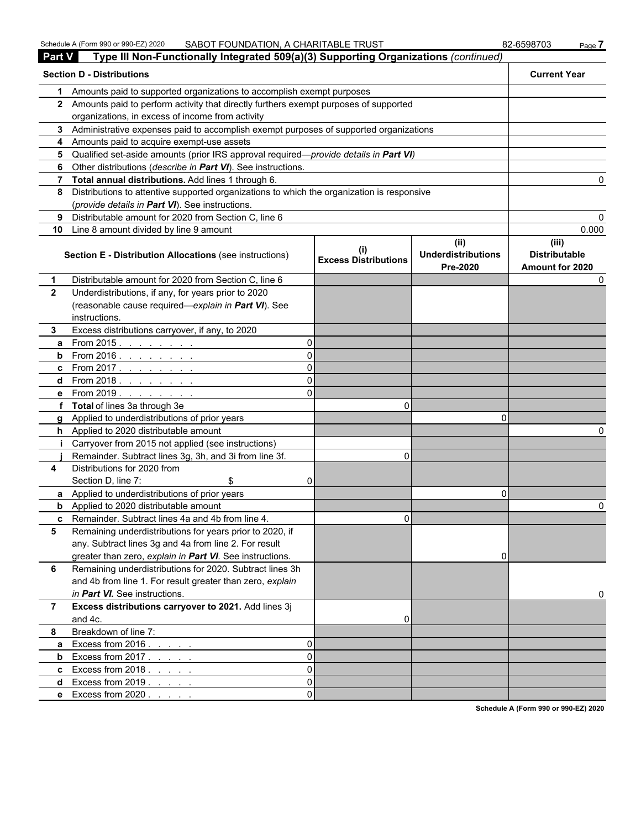| <b>Part V</b> | Type III Non-Functionally Integrated 509(a)(3) Supporting Organizations (continued)        |          |                             |                                               |                                                  |
|---------------|--------------------------------------------------------------------------------------------|----------|-----------------------------|-----------------------------------------------|--------------------------------------------------|
|               | <b>Section D - Distributions</b>                                                           |          |                             |                                               | <b>Current Year</b>                              |
| 1.            | Amounts paid to supported organizations to accomplish exempt purposes                      |          |                             |                                               |                                                  |
|               | 2 Amounts paid to perform activity that directly furthers exempt purposes of supported     |          |                             |                                               |                                                  |
|               | organizations, in excess of income from activity                                           |          |                             |                                               |                                                  |
|               | 3 Administrative expenses paid to accomplish exempt purposes of supported organizations    |          |                             |                                               |                                                  |
| 4             | Amounts paid to acquire exempt-use assets                                                  |          |                             |                                               |                                                  |
|               | 5 Qualified set-aside amounts (prior IRS approval required—provide details in Part VI)     |          |                             |                                               |                                                  |
| 6             | Other distributions (describe in Part VI). See instructions.                               |          |                             |                                               |                                                  |
| 7             | Total annual distributions. Add lines 1 through 6.                                         |          |                             |                                               |                                                  |
| 8             | Distributions to attentive supported organizations to which the organization is responsive |          |                             |                                               |                                                  |
|               | (provide details in Part VI). See instructions.                                            |          |                             |                                               |                                                  |
| 9             | Distributable amount for 2020 from Section C, line 6                                       |          |                             |                                               |                                                  |
| 10            | Line 8 amount divided by line 9 amount                                                     |          |                             |                                               | 0.000                                            |
|               | Section E - Distribution Allocations (see instructions)                                    |          | <b>Excess Distributions</b> | (ii)<br><b>Underdistributions</b><br>Pre-2020 | (iii)<br><b>Distributable</b><br>Amount for 2020 |
|               | Distributable amount for 2020 from Section C, line 6                                       |          |                             |                                               |                                                  |
| $\mathbf{2}$  | Underdistributions, if any, for years prior to 2020                                        |          |                             |                                               |                                                  |
|               | (reasonable cause required-explain in Part VI). See                                        |          |                             |                                               |                                                  |
|               | instructions.                                                                              |          |                             |                                               |                                                  |
| 3.            | Excess distributions carryover, if any, to 2020                                            |          |                             |                                               |                                                  |
| a             | From 2015.                                                                                 | 0        |                             |                                               |                                                  |
| b             | From 2016                                                                                  | 0        |                             |                                               |                                                  |
| c             | From 2017                                                                                  | 0        |                             |                                               |                                                  |
| d             | From 2018. <u>.</u>                                                                        |          |                             |                                               |                                                  |
| е             | From 2019. $\ldots$                                                                        |          |                             |                                               |                                                  |
| f             | <b>Total</b> of lines 3a through 3e                                                        |          | 0                           |                                               |                                                  |
| g             | Applied to underdistributions of prior years                                               |          |                             | 0                                             |                                                  |
| h.            | Applied to 2020 distributable amount                                                       |          |                             |                                               |                                                  |
|               | Carryover from 2015 not applied (see instructions)                                         |          |                             |                                               |                                                  |
|               | Remainder. Subtract lines 3g, 3h, and 3i from line 3f.                                     |          | 0                           |                                               |                                                  |
| 4             | Distributions for 2020 from                                                                |          |                             |                                               |                                                  |
|               | Section D, line 7:                                                                         | 0        |                             |                                               |                                                  |
| a             | Applied to underdistributions of prior years                                               |          |                             | 0                                             |                                                  |
| b             | Applied to 2020 distributable amount                                                       |          |                             |                                               | 0                                                |
| c             | Remainder. Subtract lines 4a and 4b from line 4.                                           |          | 0                           |                                               |                                                  |
| 5             | Remaining underdistributions for years prior to 2020, if                                   |          |                             |                                               |                                                  |
|               | any. Subtract lines 3g and 4a from line 2. For result                                      |          |                             |                                               |                                                  |
|               | greater than zero, explain in Part VI. See instructions.                                   |          |                             | 0                                             |                                                  |
| 6             | Remaining underdistributions for 2020. Subtract lines 3h                                   |          |                             |                                               |                                                  |
|               | and 4b from line 1. For result greater than zero, explain                                  |          |                             |                                               |                                                  |
|               | in Part VI. See instructions.                                                              |          |                             |                                               | 0                                                |
| 7             | Excess distributions carryover to 2021. Add lines 3j                                       |          |                             |                                               |                                                  |
|               | and 4c.                                                                                    |          | 0                           |                                               |                                                  |
| 8             | Breakdown of line 7:                                                                       |          |                             |                                               |                                                  |
| a             | Excess from 2016.                                                                          | 0        |                             |                                               |                                                  |
| b             | Excess from 2017                                                                           | 0        |                             |                                               |                                                  |
| c             | Excess from $2018.7.7.7.7$                                                                 | $\Omega$ |                             |                                               |                                                  |
| d             | Excess from $2019.7.7.7.7$                                                                 | $\Omega$ |                             |                                               |                                                  |
| е             | Excess from $2020.$                                                                        | $\Omega$ |                             |                                               |                                                  |

**Schedule A (Form 990 or 990-EZ) 2020**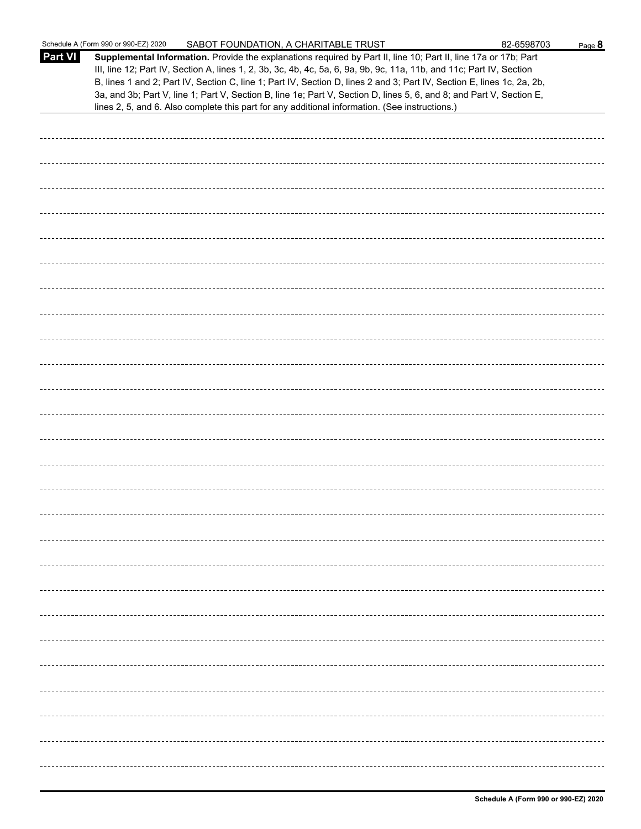|                | Schedule A (Form 990 or 990-EZ) 2020<br>SABOT FOUNDATION, A CHARITABLE TRUST                                                                                                                                                                                                                                                                                                                                                                                                                                                                                                                | 82-6598703 | Page 8 |
|----------------|---------------------------------------------------------------------------------------------------------------------------------------------------------------------------------------------------------------------------------------------------------------------------------------------------------------------------------------------------------------------------------------------------------------------------------------------------------------------------------------------------------------------------------------------------------------------------------------------|------------|--------|
| <b>Part VI</b> | Supplemental Information. Provide the explanations required by Part II, line 10; Part II, line 17a or 17b; Part<br>III, line 12; Part IV, Section A, lines 1, 2, 3b, 3c, 4b, 4c, 5a, 6, 9a, 9b, 9c, 11a, 11b, and 11c; Part IV, Section<br>B, lines 1 and 2; Part IV, Section C, line 1; Part IV, Section D, lines 2 and 3; Part IV, Section E, lines 1c, 2a, 2b,<br>3a, and 3b; Part V, line 1; Part V, Section B, line 1e; Part V, Section D, lines 5, 6, and 8; and Part V, Section E,<br>lines 2, 5, and 6. Also complete this part for any additional information. (See instructions.) |            |        |
|                |                                                                                                                                                                                                                                                                                                                                                                                                                                                                                                                                                                                             |            |        |
|                |                                                                                                                                                                                                                                                                                                                                                                                                                                                                                                                                                                                             |            |        |
|                |                                                                                                                                                                                                                                                                                                                                                                                                                                                                                                                                                                                             |            |        |
|                |                                                                                                                                                                                                                                                                                                                                                                                                                                                                                                                                                                                             |            |        |
|                |                                                                                                                                                                                                                                                                                                                                                                                                                                                                                                                                                                                             |            |        |
|                |                                                                                                                                                                                                                                                                                                                                                                                                                                                                                                                                                                                             |            |        |
|                |                                                                                                                                                                                                                                                                                                                                                                                                                                                                                                                                                                                             |            |        |
|                |                                                                                                                                                                                                                                                                                                                                                                                                                                                                                                                                                                                             |            |        |
|                |                                                                                                                                                                                                                                                                                                                                                                                                                                                                                                                                                                                             |            |        |
|                |                                                                                                                                                                                                                                                                                                                                                                                                                                                                                                                                                                                             |            |        |
|                |                                                                                                                                                                                                                                                                                                                                                                                                                                                                                                                                                                                             |            |        |
|                |                                                                                                                                                                                                                                                                                                                                                                                                                                                                                                                                                                                             |            |        |
|                |                                                                                                                                                                                                                                                                                                                                                                                                                                                                                                                                                                                             |            |        |
|                |                                                                                                                                                                                                                                                                                                                                                                                                                                                                                                                                                                                             |            |        |
|                |                                                                                                                                                                                                                                                                                                                                                                                                                                                                                                                                                                                             |            |        |
|                |                                                                                                                                                                                                                                                                                                                                                                                                                                                                                                                                                                                             |            |        |
|                |                                                                                                                                                                                                                                                                                                                                                                                                                                                                                                                                                                                             |            |        |
|                |                                                                                                                                                                                                                                                                                                                                                                                                                                                                                                                                                                                             |            |        |
|                |                                                                                                                                                                                                                                                                                                                                                                                                                                                                                                                                                                                             |            |        |
|                |                                                                                                                                                                                                                                                                                                                                                                                                                                                                                                                                                                                             |            |        |
|                |                                                                                                                                                                                                                                                                                                                                                                                                                                                                                                                                                                                             |            |        |
|                |                                                                                                                                                                                                                                                                                                                                                                                                                                                                                                                                                                                             |            |        |
|                |                                                                                                                                                                                                                                                                                                                                                                                                                                                                                                                                                                                             |            |        |
|                |                                                                                                                                                                                                                                                                                                                                                                                                                                                                                                                                                                                             |            |        |
|                |                                                                                                                                                                                                                                                                                                                                                                                                                                                                                                                                                                                             |            |        |
|                |                                                                                                                                                                                                                                                                                                                                                                                                                                                                                                                                                                                             |            |        |
|                |                                                                                                                                                                                                                                                                                                                                                                                                                                                                                                                                                                                             |            |        |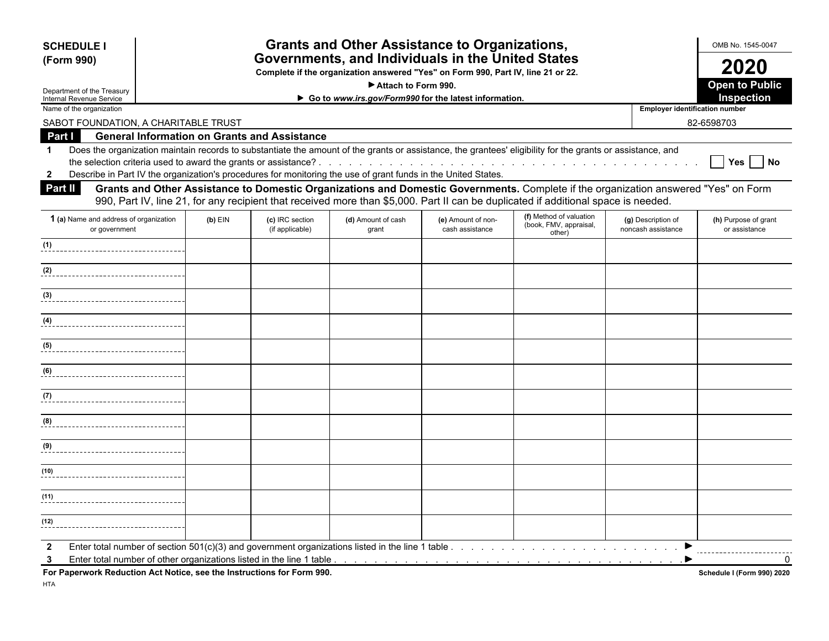| <b>Grants and Other Assistance to Organizations,</b><br><b>SCHEDULE I</b><br>Governments, and Individuals in the United States<br>(Form 990)<br>Complete if the organization answered "Yes" on Form 990, Part IV, line 21 or 22.                                                     |           |                                    |                             |                                       |                                  |                                          | OMB No. 1545-0047<br>2020             |  |                     |
|--------------------------------------------------------------------------------------------------------------------------------------------------------------------------------------------------------------------------------------------------------------------------------------|-----------|------------------------------------|-----------------------------|---------------------------------------|----------------------------------|------------------------------------------|---------------------------------------|--|---------------------|
|                                                                                                                                                                                                                                                                                      |           |                                    |                             |                                       |                                  |                                          |                                       |  | Attach to Form 990. |
| <b>Open to Public</b><br>Department of the Treasury<br><b>Inspection</b><br>► Go to www.irs.gov/Form990 for the latest information.<br>Internal Revenue Service                                                                                                                      |           |                                    |                             |                                       |                                  |                                          |                                       |  |                     |
| Name of the organization                                                                                                                                                                                                                                                             |           |                                    |                             |                                       |                                  | <b>Employer identification number</b>    |                                       |  |                     |
| SABOT FOUNDATION, A CHARITABLE TRUST                                                                                                                                                                                                                                                 |           |                                    |                             |                                       |                                  |                                          | 82-6598703                            |  |                     |
| <b>General Information on Grants and Assistance</b><br>Part I<br>Does the organization maintain records to substantiate the amount of the grants or assistance, the grantees' eligibility for the grants or assistance, and                                                          |           |                                    |                             |                                       |                                  |                                          |                                       |  |                     |
| 1                                                                                                                                                                                                                                                                                    |           |                                    |                             |                                       |                                  |                                          | Yes No                                |  |                     |
| Describe in Part IV the organization's procedures for monitoring the use of grant funds in the United States.<br>$\mathbf{2}$                                                                                                                                                        |           |                                    |                             |                                       |                                  |                                          |                                       |  |                     |
| Grants and Other Assistance to Domestic Organizations and Domestic Governments. Complete if the organization answered "Yes" on Form<br>Part II<br>990, Part IV, line 21, for any recipient that received more than \$5,000. Part II can be duplicated if additional space is needed. |           |                                    |                             |                                       |                                  |                                          |                                       |  |                     |
|                                                                                                                                                                                                                                                                                      |           |                                    |                             |                                       | (f) Method of valuation          |                                          |                                       |  |                     |
| 1 (a) Name and address of organization<br>or government                                                                                                                                                                                                                              | $(b)$ EIN | (c) IRC section<br>(if applicable) | (d) Amount of cash<br>grant | (e) Amount of non-<br>cash assistance | (book, FMV, appraisal,<br>other) | (g) Description of<br>noncash assistance | (h) Purpose of grant<br>or assistance |  |                     |
| (1)                                                                                                                                                                                                                                                                                  |           |                                    |                             |                                       |                                  |                                          |                                       |  |                     |
| (2)                                                                                                                                                                                                                                                                                  |           |                                    |                             |                                       |                                  |                                          |                                       |  |                     |
| (3)                                                                                                                                                                                                                                                                                  |           |                                    |                             |                                       |                                  |                                          |                                       |  |                     |
| (4)                                                                                                                                                                                                                                                                                  |           |                                    |                             |                                       |                                  |                                          |                                       |  |                     |
| (5)                                                                                                                                                                                                                                                                                  |           |                                    |                             |                                       |                                  |                                          |                                       |  |                     |
| (6)                                                                                                                                                                                                                                                                                  |           |                                    |                             |                                       |                                  |                                          |                                       |  |                     |
| (7)                                                                                                                                                                                                                                                                                  |           |                                    |                             |                                       |                                  |                                          |                                       |  |                     |
| (8)                                                                                                                                                                                                                                                                                  |           |                                    |                             |                                       |                                  |                                          |                                       |  |                     |
| (9)<br>_____________________________                                                                                                                                                                                                                                                 |           |                                    |                             |                                       |                                  |                                          |                                       |  |                     |
| (10)                                                                                                                                                                                                                                                                                 |           |                                    |                             |                                       |                                  |                                          |                                       |  |                     |
| (11)                                                                                                                                                                                                                                                                                 |           |                                    |                             |                                       |                                  |                                          |                                       |  |                     |
| (12)                                                                                                                                                                                                                                                                                 |           |                                    |                             |                                       |                                  |                                          |                                       |  |                     |